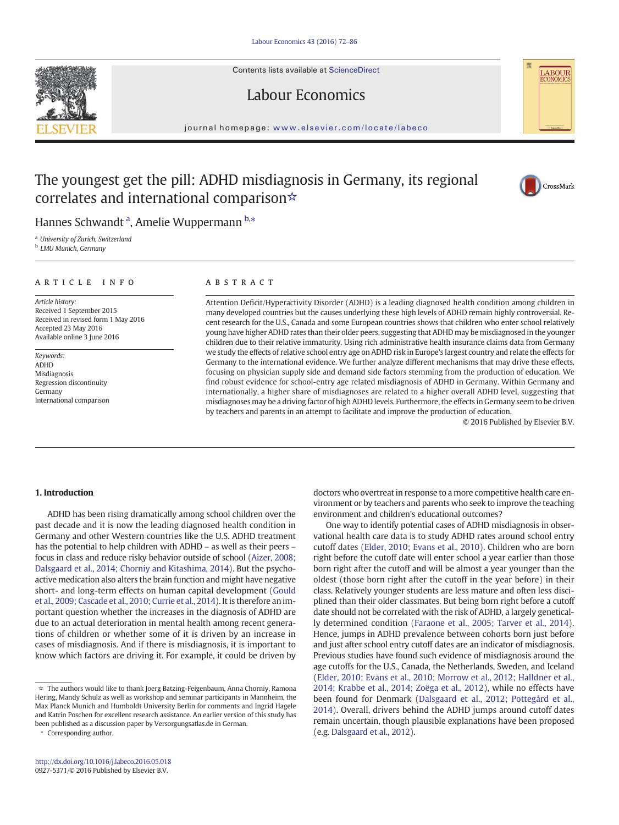Contents lists available at ScienceDirect

# Labour Economics

journal homepage: <www.elsevier.com/locate/labeco>



# The youngest get the pill: ADHD misdiagnosis in Germany, its regional correlates and international comparison☆



Hannes Schwandt <sup>a</sup>, Amelie Wuppermann <sup>b,\*</sup>

<sup>a</sup> University of Zurich, Switzerland

**b** LMU Munich, Germany

#### article info abstract

Article history: Received 1 September 2015 Received in revised form 1 May 2016 Accepted 23 May 2016 Available online 3 June 2016

Keywords: ADHD Misdiagnosis Regression discontinuity Germany International comparison

Attention Deficit/Hyperactivity Disorder (ADHD) is a leading diagnosed health condition among children in many developed countries but the causes underlying these high levels of ADHD remain highly controversial. Recent research for the U.S., Canada and some European countries shows that children who enter school relatively young have higher ADHD rates than their older peers, suggesting that ADHD may be misdiagnosed in the younger children due to their relative immaturity. Using rich administrative health insurance claims data from Germany we study the effects of relative school entry age on ADHD risk in Europe's largest country and relate the effects for Germany to the international evidence. We further analyze different mechanisms that may drive these effects, focusing on physician supply side and demand side factors stemming from the production of education. We find robust evidence for school-entry age related misdiagnosis of ADHD in Germany. Within Germany and internationally, a higher share of misdiagnoses are related to a higher overall ADHD level, suggesting that misdiagnoses may be a driving factor of high ADHD levels. Furthermore, the effects in Germany seem to be driven by teachers and parents in an attempt to facilitate and improve the production of education.

© 2016 Published by Elsevier B.V.

### 1. Introduction

ADHD has been rising dramatically among school children over the past decade and it is now the leading diagnosed health condition in Germany and other Western countries like the U.S. ADHD treatment has the potential to help children with ADHD – as well as their peers – focus in class and reduce risky behavior outside of school [\(Aizer, 2008;](#page-13-0) [Dalsgaard et al., 2014; Chorniy and Kitashima, 2014](#page-13-0)). But the psychoactive medication also alters the brain function and might have negative short- and long-term effects on human capital development ([Gould](#page-13-0) [et al., 2009; Cascade et al., 2010; Currie et al., 2014](#page-13-0)). It is therefore an important question whether the increases in the diagnosis of ADHD are due to an actual deterioration in mental health among recent generations of children or whether some of it is driven by an increase in cases of misdiagnosis. And if there is misdiagnosis, it is important to know which factors are driving it. For example, it could be driven by

⁎ Corresponding author.

doctors who overtreat in response to a more competitive health care environment or by teachers and parents who seek to improve the teaching environment and children's educational outcomes?

One way to identify potential cases of ADHD misdiagnosis in observational health care data is to study ADHD rates around school entry cutoff dates ([Elder, 2010; Evans et al., 2010\)](#page-13-0). Children who are born right before the cutoff date will enter school a year earlier than those born right after the cutoff and will be almost a year younger than the oldest (those born right after the cutoff in the year before) in their class. Relatively younger students are less mature and often less disciplined than their older classmates. But being born right before a cutoff date should not be correlated with the risk of ADHD, a largely genetically determined condition [\(Faraone et al., 2005; Tarver et al., 2014](#page-13-0)). Hence, jumps in ADHD prevalence between cohorts born just before and just after school entry cutoff dates are an indicator of misdiagnosis. Previous studies have found such evidence of misdiagnosis around the age cutoffs for the U.S., Canada, the Netherlands, Sweden, and Iceland [\(Elder, 2010; Evans et al., 2010; Morrow et al., 2012; Halldner et al.,](#page-13-0) [2014; Krabbe et al., 2014; Zoëga et al., 2012\)](#page-13-0), while no effects have been found for Denmark [\(Dalsgaard et al., 2012; Pottegård et al.,](#page-13-0) [2014](#page-13-0)). Overall, drivers behind the ADHD jumps around cutoff dates remain uncertain, though plausible explanations have been proposed (e.g. [Dalsgaard et al., 2012\)](#page-13-0).

<span id="page-0-0"></span>

 $\star~$  The authors would like to thank Joerg Batzing-Feigenbaum, Anna Chorniy, Ramona Hering, Mandy Schulz as well as workshop and seminar participants in Mannheim, the Max Planck Munich and Humboldt University Berlin for comments and Ingrid Hagele and Katrin Poschen for excellent research assistance. An earlier version of this study has been published as a discussion paper by Versorgungsatlas.de in German.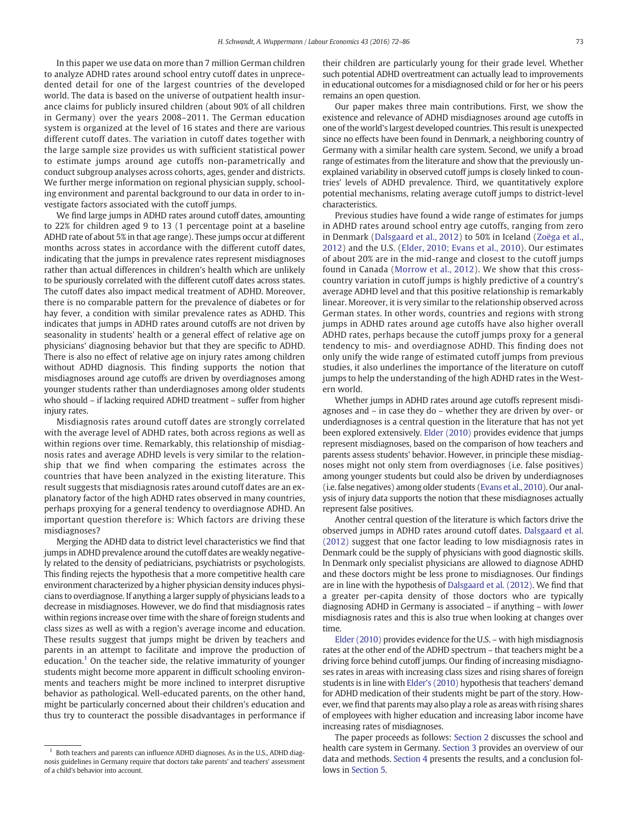In this paper we use data on more than 7 million German children to analyze ADHD rates around school entry cutoff dates in unprecedented detail for one of the largest countries of the developed world. The data is based on the universe of outpatient health insurance claims for publicly insured children (about 90% of all children in Germany) over the years 2008–2011. The German education system is organized at the level of 16 states and there are various different cutoff dates. The variation in cutoff dates together with the large sample size provides us with sufficient statistical power to estimate jumps around age cutoffs non-parametrically and conduct subgroup analyses across cohorts, ages, gender and districts. We further merge information on regional physician supply, schooling environment and parental background to our data in order to investigate factors associated with the cutoff jumps.

We find large jumps in ADHD rates around cutoff dates, amounting to 22% for children aged 9 to 13 (1 percentage point at a baseline ADHD rate of about 5% in that age range). These jumps occur at different months across states in accordance with the different cutoff dates, indicating that the jumps in prevalence rates represent misdiagnoses rather than actual differences in children's health which are unlikely to be spuriously correlated with the different cutoff dates across states. The cutoff dates also impact medical treatment of ADHD. Moreover, there is no comparable pattern for the prevalence of diabetes or for hay fever, a condition with similar prevalence rates as ADHD. This indicates that jumps in ADHD rates around cutoffs are not driven by seasonality in students' health or a general effect of relative age on physicians' diagnosing behavior but that they are specific to ADHD. There is also no effect of relative age on injury rates among children without ADHD diagnosis. This finding supports the notion that misdiagnoses around age cutoffs are driven by overdiagnoses among younger students rather than underdiagnoses among older students who should – if lacking required ADHD treatment – suffer from higher injury rates.

Misdiagnosis rates around cutoff dates are strongly correlated with the average level of ADHD rates, both across regions as well as within regions over time. Remarkably, this relationship of misdiagnosis rates and average ADHD levels is very similar to the relationship that we find when comparing the estimates across the countries that have been analyzed in the existing literature. This result suggests that misdiagnosis rates around cutoff dates are an explanatory factor of the high ADHD rates observed in many countries, perhaps proxying for a general tendency to overdiagnose ADHD. An important question therefore is: Which factors are driving these misdiagnoses?

Merging the ADHD data to district level characteristics we find that jumps in ADHD prevalence around the cutoff dates are weakly negatively related to the density of pediatricians, psychiatrists or psychologists. This finding rejects the hypothesis that a more competitive health care environment characterized by a higher physician density induces physicians to overdiagnose. If anything a larger supply of physicians leads to a decrease in misdiagnoses. However, we do find that misdiagnosis rates within regions increase over time with the share of foreign students and class sizes as well as with a region's average income and education. These results suggest that jumps might be driven by teachers and parents in an attempt to facilitate and improve the production of education.<sup>1</sup> On the teacher side, the relative immaturity of younger students might become more apparent in difficult schooling environments and teachers might be more inclined to interpret disruptive behavior as pathological. Well-educated parents, on the other hand, might be particularly concerned about their children's education and thus try to counteract the possible disadvantages in performance if their children are particularly young for their grade level. Whether such potential ADHD overtreatment can actually lead to improvements in educational outcomes for a misdiagnosed child or for her or his peers remains an open question.

Our paper makes three main contributions. First, we show the existence and relevance of ADHD misdiagnoses around age cutoffs in one of the world's largest developed countries. This result is unexpected since no effects have been found in Denmark, a neighboring country of Germany with a similar health care system. Second, we unify a broad range of estimates from the literature and show that the previously unexplained variability in observed cutoff jumps is closely linked to countries' levels of ADHD prevalence. Third, we quantitatively explore potential mechanisms, relating average cutoff jumps to district-level characteristics.

Previous studies have found a wide range of estimates for jumps in ADHD rates around school entry age cutoffs, ranging from zero in Denmark ([Dalsgaard et al., 2012\)](#page-13-0) to 50% in Iceland ([Zoëga et al.,](#page-14-0) [2012](#page-14-0)) and the U.S. ([Elder, 2010; Evans et al., 2010\)](#page-13-0). Our estimates of about 20% are in the mid-range and closest to the cutoff jumps found in Canada ([Morrow et al., 2012](#page-13-0)). We show that this crosscountry variation in cutoff jumps is highly predictive of a country's average ADHD level and that this positive relationship is remarkably linear. Moreover, it is very similar to the relationship observed across German states. In other words, countries and regions with strong jumps in ADHD rates around age cutoffs have also higher overall ADHD rates, perhaps because the cutoff jumps proxy for a general tendency to mis- and overdiagnose ADHD. This finding does not only unify the wide range of estimated cutoff jumps from previous studies, it also underlines the importance of the literature on cutoff jumps to help the understanding of the high ADHD rates in the Western world.

Whether jumps in ADHD rates around age cutoffs represent misdiagnoses and – in case they do – whether they are driven by over- or underdiagnoses is a central question in the literature that has not yet been explored extensively. [Elder \(2010\)](#page-13-0) provides evidence that jumps represent misdiagnoses, based on the comparison of how teachers and parents assess students' behavior. However, in principle these misdiagnoses might not only stem from overdiagnoses (i.e. false positives) among younger students but could also be driven by underdiagnoses (i.e. false negatives) among older students ([Evans et al., 2010](#page-13-0)). Our analysis of injury data supports the notion that these misdiagnoses actually represent false positives.

Another central question of the literature is which factors drive the observed jumps in ADHD rates around cutoff dates. [Dalsgaard et al.](#page-13-0) [\(2012\)](#page-13-0) suggest that one factor leading to low misdiagnosis rates in Denmark could be the supply of physicians with good diagnostic skills. In Denmark only specialist physicians are allowed to diagnose ADHD and these doctors might be less prone to misdiagnoses. Our findings are in line with the hypothesis of [Dalsgaard et al. \(2012\)](#page-13-0). We find that a greater per-capita density of those doctors who are typically diagnosing ADHD in Germany is associated – if anything – with lower misdiagnosis rates and this is also true when looking at changes over time.

[Elder \(2010\)](#page-13-0) provides evidence for the U.S. – with high misdiagnosis rates at the other end of the ADHD spectrum – that teachers might be a driving force behind cutoff jumps. Our finding of increasing misdiagnoses rates in areas with increasing class sizes and rising shares of foreign students is in line with [Elder's \(2010\)](#page-13-0) hypothesis that teachers' demand for ADHD medication of their students might be part of the story. However, we find that parents may also play a role as areas with rising shares of employees with higher education and increasing labor income have increasing rates of misdiagnoses.

The paper proceeds as follows: [Section 2](#page-2-0) discusses the school and health care system in Germany. [Section 3](#page-2-0) provides an overview of our data and methods. [Section 4](#page-6-0) presents the results, and a conclusion follows in [Section 5.](#page-12-0)

 $1$  Both teachers and parents can influence ADHD diagnoses. As in the U.S., ADHD diagnosis guidelines in Germany require that doctors take parents' and teachers' assessment of a child's behavior into account.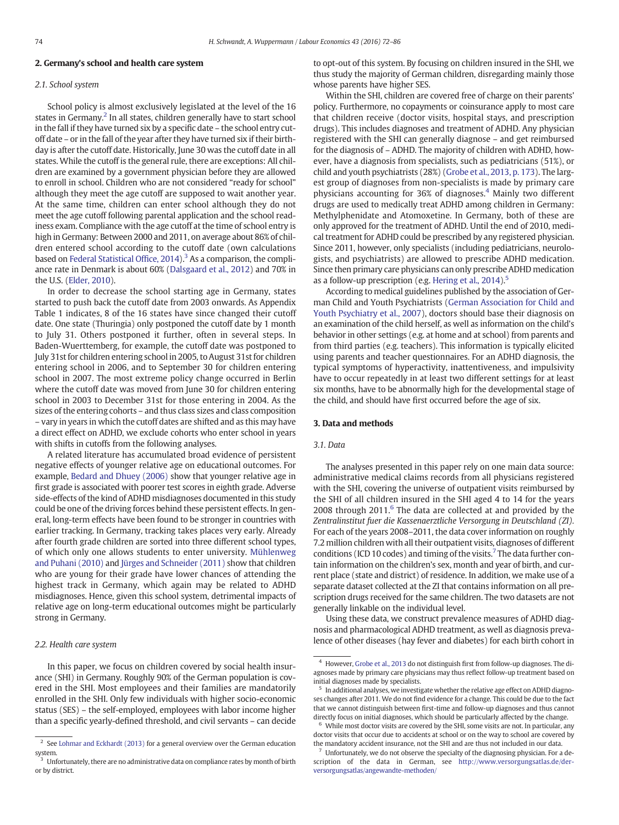#### <span id="page-2-0"></span>2. Germany's school and health care system

#### 2.1. School system

School policy is almost exclusively legislated at the level of the 16 states in Germany.<sup>2</sup> In all states, children generally have to start school in the fall if they have turned six by a specific date – the school entry cutoff date – or in the fall of the year after they have turned six if their birthday is after the cutoff date. Historically, June 30 was the cutoff date in all states. While the cutoff is the general rule, there are exceptions: All children are examined by a government physician before they are allowed to enroll in school. Children who are not considered "ready for school" although they meet the age cutoff are supposed to wait another year. At the same time, children can enter school although they do not meet the age cutoff following parental application and the school readiness exam. Compliance with the age cutoff at the time of school entry is high in Germany: Between 2000 and 2011, on average about 86% of children entered school according to the cutoff date (own calculations based on [Federal Statistical Of](#page-13-0)fice, 2014).<sup>3</sup> As a comparison, the compliance rate in Denmark is about 60% ([Dalsgaard et al., 2012](#page-13-0)) and 70% in the U.S. [\(Elder, 2010](#page-13-0)).

In order to decrease the school starting age in Germany, states started to push back the cutoff date from 2003 onwards. As Appendix Table 1 indicates, 8 of the 16 states have since changed their cutoff date. One state (Thuringia) only postponed the cutoff date by 1 month to July 31. Others postponed it further, often in several steps. In Baden-Wuerttemberg, for example, the cutoff date was postponed to July 31st for children entering school in 2005, to August 31st for children entering school in 2006, and to September 30 for children entering school in 2007. The most extreme policy change occurred in Berlin where the cutoff date was moved from June 30 for children entering school in 2003 to December 31st for those entering in 2004. As the sizes of the entering cohorts – and thus class sizes and class composition – vary in years in which the cutoff dates are shifted and as this may have a direct effect on ADHD, we exclude cohorts who enter school in years with shifts in cutoffs from the following analyses.

A related literature has accumulated broad evidence of persistent negative effects of younger relative age on educational outcomes. For example, [Bedard and Dhuey \(2006\)](#page-13-0) show that younger relative age in first grade is associated with poorer test scores in eighth grade. Adverse side-effects of the kind of ADHD misdiagnoses documented in this study could be one of the driving forces behind these persistent effects. In general, long-term effects have been found to be stronger in countries with earlier tracking. In Germany, tracking takes places very early. Already after fourth grade children are sorted into three different school types, of which only one allows students to enter university. [Mühlenweg](#page-13-0) [and Puhani \(2010\)](#page-13-0) and [Jürges and Schneider \(2011\)](#page-13-0) show that children who are young for their grade have lower chances of attending the highest track in Germany, which again may be related to ADHD misdiagnoses. Hence, given this school system, detrimental impacts of relative age on long-term educational outcomes might be particularly strong in Germany.

#### 2.2. Health care system

In this paper, we focus on children covered by social health insurance (SHI) in Germany. Roughly 90% of the German population is covered in the SHI. Most employees and their families are mandatorily enrolled in the SHI. Only few individuals with higher socio-economic status (SES) – the self-employed, employees with labor income higher than a specific yearly-defined threshold, and civil servants – can decide to opt-out of this system. By focusing on children insured in the SHI, we thus study the majority of German children, disregarding mainly those whose parents have higher SES.

Within the SHI, children are covered free of charge on their parents' policy. Furthermore, no copayments or coinsurance apply to most care that children receive (doctor visits, hospital stays, and prescription drugs). This includes diagnoses and treatment of ADHD. Any physician registered with the SHI can generally diagnose – and get reimbursed for the diagnosis of – ADHD. The majority of children with ADHD, however, have a diagnosis from specialists, such as pediatricians (51%), or child and youth psychiatrists (28%) ([Grobe et al., 2013, p. 173\)](#page-13-0). The largest group of diagnoses from non-specialists is made by primary care physicians accounting for 36% of diagnoses.<sup>4</sup> Mainly two different drugs are used to medically treat ADHD among children in Germany: Methylphenidate and Atomoxetine. In Germany, both of these are only approved for the treatment of ADHD. Until the end of 2010, medical treatment for ADHD could be prescribed by any registered physician. Since 2011, however, only specialists (including pediatricians, neurologists, and psychiatrists) are allowed to prescribe ADHD medication. Since then primary care physicians can only prescribe ADHD medication as a follow-up prescription (e.g. Hering et al.,  $2014$ ).<sup>5</sup>

According to medical guidelines published by the association of German Child and Youth Psychiatrists [\(German Association for Child and](#page-13-0) [Youth Psychiatry et al., 2007](#page-13-0)), doctors should base their diagnosis on an examination of the child herself, as well as information on the child's behavior in other settings (e.g. at home and at school) from parents and from third parties (e.g. teachers). This information is typically elicited using parents and teacher questionnaires. For an ADHD diagnosis, the typical symptoms of hyperactivity, inattentiveness, and impulsivity have to occur repeatedly in at least two different settings for at least six months, have to be abnormally high for the developmental stage of the child, and should have first occurred before the age of six.

#### 3. Data and methods

#### 3.1. Data

The analyses presented in this paper rely on one main data source: administrative medical claims records from all physicians registered with the SHI, covering the universe of outpatient visits reimbursed by the SHI of all children insured in the SHI aged 4 to 14 for the years 2008 through  $2011<sup>6</sup>$ . The data are collected at and provided by the Zentralinstitut fuer die Kassenaerztliche Versorgung in Deutschland (ZI). For each of the years 2008–2011, the data cover information on roughly 7.2 million children with all their outpatient visits, diagnoses of different conditions (ICD 10 codes) and timing of the visits.<sup>7</sup> The data further contain information on the children's sex, month and year of birth, and current place (state and district) of residence. In addition, we make use of a separate dataset collected at the ZI that contains information on all prescription drugs received for the same children. The two datasets are not generally linkable on the individual level.

Using these data, we construct prevalence measures of ADHD diagnosis and pharmacological ADHD treatment, as well as diagnosis prevalence of other diseases (hay fever and diabetes) for each birth cohort in

 $2$  See [Lohmar and Eckhardt \(2013\)](#page-13-0) for a general overview over the German education system.

<sup>&</sup>lt;sup>3</sup> Unfortunately, there are no administrative data on compliance rates by month of birth or by district.

<sup>4</sup> However, [Grobe et al., 2013](#page-13-0) do not distinguish first from follow-up diagnoses. The diagnoses made by primary care physicians may thus reflect follow-up treatment based on initial diagnoses made by specialists.

<sup>5</sup> In additional analyses, we investigate whether the relative age effect on ADHD diagnoses changes after 2011. We do not find evidence for a change. This could be due to the fact that we cannot distinguish between first-time and follow-up diagnoses and thus cannot directly focus on initial diagnoses, which should be particularly affected by the change.

While most doctor visits are covered by the SHI, some visits are not. In particular, any doctor visits that occur due to accidents at school or on the way to school are covered by the mandatory accident insurance, not the SHI and are thus not included in our data.

Unfortunately, we do not observe the specialty of the diagnosing physician. For a description of the data in German, see [http://www.versorgungsatlas.de/der](http://www.versorgungsatlas.de/der-versorgungsatlas/angewandte-methoden/)[versorgungsatlas/angewandte-methoden/](http://www.versorgungsatlas.de/der-versorgungsatlas/angewandte-methoden/)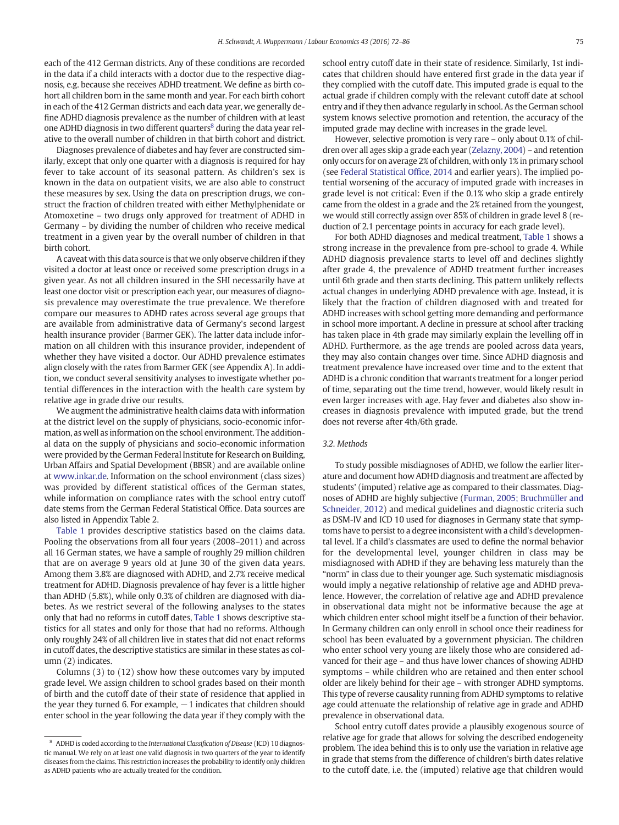each of the 412 German districts. Any of these conditions are recorded in the data if a child interacts with a doctor due to the respective diagnosis, e.g. because she receives ADHD treatment. We define as birth cohort all children born in the same month and year. For each birth cohort in each of the 412 German districts and each data year, we generally define ADHD diagnosis prevalence as the number of children with at least one ADHD diagnosis in two different quarters<sup>8</sup> during the data year relative to the overall number of children in that birth cohort and district.

Diagnoses prevalence of diabetes and hay fever are constructed similarly, except that only one quarter with a diagnosis is required for hay fever to take account of its seasonal pattern. As children's sex is known in the data on outpatient visits, we are also able to construct these measures by sex. Using the data on prescription drugs, we construct the fraction of children treated with either Methylphenidate or Atomoxetine – two drugs only approved for treatment of ADHD in Germany – by dividing the number of children who receive medical treatment in a given year by the overall number of children in that birth cohort.

A caveat with this data source is that we only observe children if they visited a doctor at least once or received some prescription drugs in a given year. As not all children insured in the SHI necessarily have at least one doctor visit or prescription each year, our measures of diagnosis prevalence may overestimate the true prevalence. We therefore compare our measures to ADHD rates across several age groups that are available from administrative data of Germany's second largest health insurance provider (Barmer GEK). The latter data include information on all children with this insurance provider, independent of whether they have visited a doctor. Our ADHD prevalence estimates align closely with the rates from Barmer GEK (see Appendix A). In addition, we conduct several sensitivity analyses to investigate whether potential differences in the interaction with the health care system by relative age in grade drive our results.

We augment the administrative health claims data with information at the district level on the supply of physicians, socio-economic information, as well as information on the school environment. The additional data on the supply of physicians and socio-economic information were provided by the German Federal Institute for Research on Building, Urban Affairs and Spatial Development (BBSR) and are available online at [www.inkar.de.](http://www.inkar.de) Information on the school environment (class sizes) was provided by different statistical offices of the German states, while information on compliance rates with the school entry cutoff date stems from the German Federal Statistical Office. Data sources are also listed in Appendix Table 2.

[Table 1](#page-4-0) provides descriptive statistics based on the claims data. Pooling the observations from all four years (2008–2011) and across all 16 German states, we have a sample of roughly 29 million children that are on average 9 years old at June 30 of the given data years. Among them 3.8% are diagnosed with ADHD, and 2.7% receive medical treatment for ADHD. Diagnosis prevalence of hay fever is a little higher than ADHD (5.8%), while only 0.3% of children are diagnosed with diabetes. As we restrict several of the following analyses to the states only that had no reforms in cutoff dates, [Table 1](#page-4-0) shows descriptive statistics for all states and only for those that had no reforms. Although only roughly 24% of all children live in states that did not enact reforms in cutoff dates, the descriptive statistics are similar in these states as column (2) indicates.

Columns (3) to (12) show how these outcomes vary by imputed grade level. We assign children to school grades based on their month of birth and the cutoff date of their state of residence that applied in the year they turned 6. For example,  $-1$  indicates that children should enter school in the year following the data year if they comply with the school entry cutoff date in their state of residence. Similarly, 1st indicates that children should have entered first grade in the data year if they complied with the cutoff date. This imputed grade is equal to the actual grade if children comply with the relevant cutoff date at school entry and if they then advance regularly in school. As the German school system knows selective promotion and retention, the accuracy of the imputed grade may decline with increases in the grade level.

However, selective promotion is very rare – only about 0.1% of children over all ages skip a grade each year [\(Zelazny, 2004\)](#page-14-0) – and retention only occurs for on average 2% of children, with only 1% in primary school (see [Federal Statistical Of](#page-13-0)fice, 2014 and earlier years). The implied potential worsening of the accuracy of imputed grade with increases in grade level is not critical: Even if the 0.1% who skip a grade entirely came from the oldest in a grade and the 2% retained from the youngest, we would still correctly assign over 85% of children in grade level 8 (reduction of 2.1 percentage points in accuracy for each grade level).

For both ADHD diagnoses and medical treatment, [Table 1](#page-4-0) shows a strong increase in the prevalence from pre-school to grade 4. While ADHD diagnosis prevalence starts to level off and declines slightly after grade 4, the prevalence of ADHD treatment further increases until 6th grade and then starts declining. This pattern unlikely reflects actual changes in underlying ADHD prevalence with age. Instead, it is likely that the fraction of children diagnosed with and treated for ADHD increases with school getting more demanding and performance in school more important. A decline in pressure at school after tracking has taken place in 4th grade may similarly explain the levelling off in ADHD. Furthermore, as the age trends are pooled across data years, they may also contain changes over time. Since ADHD diagnosis and treatment prevalence have increased over time and to the extent that ADHD is a chronic condition that warrants treatment for a longer period of time, separating out the time trend, however, would likely result in even larger increases with age. Hay fever and diabetes also show increases in diagnosis prevalence with imputed grade, but the trend does not reverse after 4th/6th grade.

#### 3.2. Methods

To study possible misdiagnoses of ADHD, we follow the earlier literature and document how ADHD diagnosis and treatment are affected by students' (imputed) relative age as compared to their classmates. Diagnoses of ADHD are highly subjective [\(Furman, 2005; Bruchmüller and](#page-13-0) [Schneider, 2012\)](#page-13-0) and medical guidelines and diagnostic criteria such as DSM-IV and ICD 10 used for diagnoses in Germany state that symptoms have to persist to a degree inconsistent with a child's developmental level. If a child's classmates are used to define the normal behavior for the developmental level, younger children in class may be misdiagnosed with ADHD if they are behaving less maturely than the "norm" in class due to their younger age. Such systematic misdiagnosis would imply a negative relationship of relative age and ADHD prevalence. However, the correlation of relative age and ADHD prevalence in observational data might not be informative because the age at which children enter school might itself be a function of their behavior. In Germany children can only enroll in school once their readiness for school has been evaluated by a government physician. The children who enter school very young are likely those who are considered advanced for their age – and thus have lower chances of showing ADHD symptoms – while children who are retained and then enter school older are likely behind for their age – with stronger ADHD symptoms. This type of reverse causality running from ADHD symptoms to relative age could attenuate the relationship of relative age in grade and ADHD prevalence in observational data.

School entry cutoff dates provide a plausibly exogenous source of relative age for grade that allows for solving the described endogeneity problem. The idea behind this is to only use the variation in relative age in grade that stems from the difference of children's birth dates relative to the cutoff date, i.e. the (imputed) relative age that children would

<sup>8</sup> ADHD is coded according to the International Classification of Disease (ICD) 10 diagnostic manual. We rely on at least one valid diagnosis in two quarters of the year to identify diseases from the claims. This restriction increases the probability to identify only children as ADHD patients who are actually treated for the condition.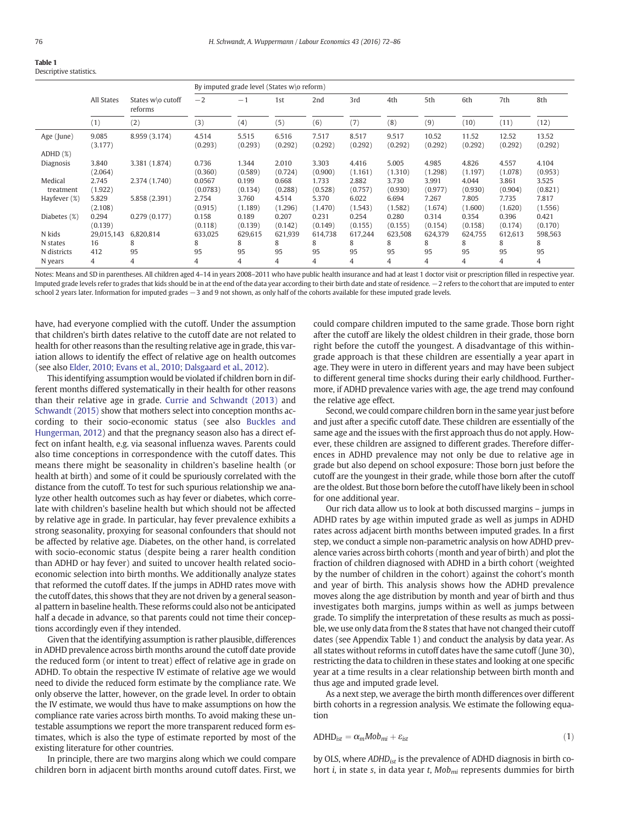<span id="page-4-0"></span>

| Table 1                 |  |
|-------------------------|--|
| Descriptive statistics. |  |

|                      |                  |                              |                    | By imputed grade level (States w\o reform) |                  |                  |                  |                  |                  |                  |                  |                  |
|----------------------|------------------|------------------------------|--------------------|--------------------------------------------|------------------|------------------|------------------|------------------|------------------|------------------|------------------|------------------|
|                      | All States       | States w\o cutoff<br>reforms | $-2$               | $-1$                                       | 1st              | 2nd              | 3rd              | 4th              | 5th              | 6th              | 7th              | 8th              |
|                      | (1)              | (2)                          | (3)                | (4)                                        | (5)              | (6)              | (7)              | (8)              | (9)              | (10)             | (11)             | (12)             |
| Age (June)           | 9.085<br>(3.177) | 8.959 (3.174)                | 4.514<br>(0.293)   | 5.515<br>(0.293)                           | 6.516<br>(0.292) | 7.517<br>(0.292) | 8.517<br>(0.292) | 9.517<br>(0.292) | 10.52<br>(0.292) | 11.52<br>(0.292) | 12.52<br>(0.292) | 13.52<br>(0.292) |
| $ADHD$ $(\%)$        |                  |                              |                    |                                            |                  |                  |                  |                  |                  |                  |                  |                  |
| Diagnosis            | 3.840<br>(2.064) | 3.381 (1.874)                | 0.736<br>(0.360)   | 1.344<br>(0.589)                           | 2.010<br>(0.724) | 3.303<br>(0.900) | 4.416<br>(1.161) | 5.005<br>(1.310) | 4.985<br>(1.298) | 4.826<br>(1.197) | 4.557<br>(1.078) | 4.104<br>(0.953) |
| Medical<br>treatment | 2.745<br>(1.922) | 2.374 (1.740)                | 0.0567<br>(0.0783) | 0.199<br>(0.134)                           | 0.668<br>(0.288) | 1.733<br>(0.528) | 2.882<br>(0.757) | 3.730<br>(0.930) | 3.991<br>(0.977) | 4.044<br>(0.930) | 3.861<br>(0.904) | 3.525<br>(0.821) |
| Hayfever (%)         | 5.829<br>(2.108) | 5.858 (2.391)                | 2.754<br>(0.915)   | 3.760<br>(1.189)                           | 4.514<br>(1.296) | 5.370<br>(1.470) | 6.022<br>(1.543) | 6.694<br>(1.582) | 7.267<br>(1.674) | 7.805<br>(1.600) | 7.735<br>(1.620) | 7.817<br>(1.556) |
| Diabetes (%)         | 0.294<br>(0.139) | 0.279(0.177)                 | 0.158<br>(0.118)   | 0.189<br>(0.139)                           | 0.207<br>(0.142) | 0.231<br>(0.149) | 0.254<br>(0.155) | 0.280<br>(0.155) | 0.314<br>(0.154) | 0.354<br>(0.158) | 0.396<br>(0.174) | 0.421<br>(0.170) |
| N kids               | 29.015.143       | 6,820,814                    | 633,025            | 629.615                                    | 621.939          | 614.738          | 617.244          | 623,508          | 624.379          | 624.755          | 612.613          | 598,563          |
| N states             | 16               | 8                            | 8                  | 8                                          | 8                | 8                | 8                | 8                | 8                | 8                | 8                | 8                |
| N districts          | 412              | 95                           | 95                 | 95                                         | 95               | 95               | 95               | 95               | 95               | 95               | 95               | 95               |
| N years              | 4                | 4                            | 4                  | 4                                          | 4                | 4                | 4                | 4                | 4                | $\overline{4}$   | 4                | 4                |

Notes: Means and SD in parentheses. All children aged 4-14 in years 2008-2011 who have public health insurance and had at least 1 doctor visit or prescription filled in respective year. Imputed grade levels refer to grades that kids should be in at the end of the data year according to their birth date and state of residence. −2 refers to the cohort that are imputed to enter school 2 years later. Information for imputed grades -3 and 9 not shown, as only half of the cohorts available for these imputed grade levels.

have, had everyone complied with the cutoff. Under the assumption that children's birth dates relative to the cutoff date are not related to health for other reasons than the resulting relative age in grade, this variation allows to identify the effect of relative age on health outcomes (see also [Elder, 2010; Evans et al., 2010; Dalsgaard et al., 2012\)](#page-13-0).

This identifying assumption would be violated if children born in different months differed systematically in their health for other reasons than their relative age in grade. [Currie and Schwandt \(2013\)](#page-13-0) and [Schwandt \(2015\)](#page-14-0) show that mothers select into conception months according to their socio-economic status (see also [Buckles and](#page-13-0) [Hungerman, 2012](#page-13-0)) and that the pregnancy season also has a direct effect on infant health, e.g. via seasonal influenza waves. Parents could also time conceptions in correspondence with the cutoff dates. This means there might be seasonality in children's baseline health (or health at birth) and some of it could be spuriously correlated with the distance from the cutoff. To test for such spurious relationship we analyze other health outcomes such as hay fever or diabetes, which correlate with children's baseline health but which should not be affected by relative age in grade. In particular, hay fever prevalence exhibits a strong seasonality, proxying for seasonal confounders that should not be affected by relative age. Diabetes, on the other hand, is correlated with socio-economic status (despite being a rarer health condition than ADHD or hay fever) and suited to uncover health related socioeconomic selection into birth months. We additionally analyze states that reformed the cutoff dates. If the jumps in ADHD rates move with the cutoff dates, this shows that they are not driven by a general seasonal pattern in baseline health. These reforms could also not be anticipated half a decade in advance, so that parents could not time their conceptions accordingly even if they intended.

Given that the identifying assumption is rather plausible, differences in ADHD prevalence across birth months around the cutoff date provide the reduced form (or intent to treat) effect of relative age in grade on ADHD. To obtain the respective IV estimate of relative age we would need to divide the reduced form estimate by the compliance rate. We only observe the latter, however, on the grade level. In order to obtain the IV estimate, we would thus have to make assumptions on how the compliance rate varies across birth months. To avoid making these untestable assumptions we report the more transparent reduced form estimates, which is also the type of estimate reported by most of the existing literature for other countries.

In principle, there are two margins along which we could compare children born in adjacent birth months around cutoff dates. First, we could compare children imputed to the same grade. Those born right after the cutoff are likely the oldest children in their grade, those born right before the cutoff the youngest. A disadvantage of this withingrade approach is that these children are essentially a year apart in age. They were in utero in different years and may have been subject to different general time shocks during their early childhood. Furthermore, if ADHD prevalence varies with age, the age trend may confound the relative age effect.

Second, we could compare children born in the same year just before and just after a specific cutoff date. These children are essentially of the same age and the issues with the first approach thus do not apply. However, these children are assigned to different grades. Therefore differences in ADHD prevalence may not only be due to relative age in grade but also depend on school exposure: Those born just before the cutoff are the youngest in their grade, while those born after the cutoff are the oldest. But those born before the cutoff have likely been in school for one additional year.

Our rich data allow us to look at both discussed margins – jumps in ADHD rates by age within imputed grade as well as jumps in ADHD rates across adjacent birth months between imputed grades. In a first step, we conduct a simple non-parametric analysis on how ADHD prevalence varies across birth cohorts (month and year of birth) and plot the fraction of children diagnosed with ADHD in a birth cohort (weighted by the number of children in the cohort) against the cohort's month and year of birth. This analysis shows how the ADHD prevalence moves along the age distribution by month and year of birth and thus investigates both margins, jumps within as well as jumps between grade. To simplify the interpretation of these results as much as possible, we use only data from the 8 states that have not changed their cutoff dates (see Appendix Table 1) and conduct the analysis by data year. As all states without reforms in cutoff dates have the same cutoff (June 30), restricting the data to children in these states and looking at one specific year at a time results in a clear relationship between birth month and thus age and imputed grade level.

As a next step, we average the birth month differences over different birth cohorts in a regression analysis. We estimate the following equation

$$
ADHD_{ist} = \alpha_m Mob_{mi} + \varepsilon_{ist} \tag{1}
$$

by OLS, where ADHD<sub>ist</sub> is the prevalence of ADHD diagnosis in birth cohort *i*, in state *s*, in data year *t*,  $Mob_{mi}$  represents dummies for birth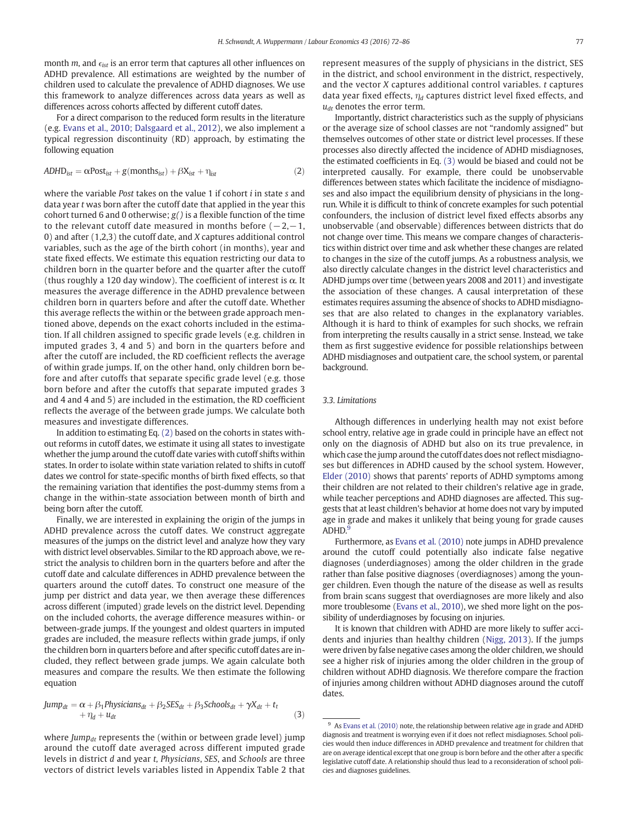month  $m$ , and  $\epsilon_{ist}$  is an error term that captures all other influences on ADHD prevalence. All estimations are weighted by the number of children used to calculate the prevalence of ADHD diagnoses. We use this framework to analyze differences across data years as well as differences across cohorts affected by different cutoff dates.

For a direct comparison to the reduced form results in the literature (e.g. [Evans et al., 2010; Dalsgaard et al., 2012\)](#page-13-0), we also implement a typical regression discontinuity (RD) approach, by estimating the following equation

$$
ADHD_{ist} = \alpha Post_{ist} + g(months_{ist}) + \beta X_{ist} + \eta_{ist}
$$
 (2)

where the variable *Post* takes on the value 1 if cohort *i* in state *s* and data year t was born after the cutoff date that applied in the year this cohort turned 6 and 0 otherwise;  $g()$  is a flexible function of the time to the relevant cutoff date measured in months before  $(-2, -1, 1)$ 0) and after (1,2,3) the cutoff date, and X captures additional control variables, such as the age of the birth cohort (in months), year and state fixed effects. We estimate this equation restricting our data to children born in the quarter before and the quarter after the cutoff (thus roughly a 120 day window). The coefficient of interest is  $\alpha$ . It measures the average difference in the ADHD prevalence between children born in quarters before and after the cutoff date. Whether this average reflects the within or the between grade approach mentioned above, depends on the exact cohorts included in the estimation. If all children assigned to specific grade levels (e.g. children in imputed grades 3, 4 and 5) and born in the quarters before and after the cutoff are included, the RD coefficient reflects the average of within grade jumps. If, on the other hand, only children born before and after cutoffs that separate specific grade level (e.g. those born before and after the cutoffs that separate imputed grades 3 and 4 and 4 and 5) are included in the estimation, the RD coefficient reflects the average of the between grade jumps. We calculate both measures and investigate differences.

In addition to estimating Eq. (2) based on the cohorts in states without reforms in cutoff dates, we estimate it using all states to investigate whether the jump around the cutoff date varies with cutoff shifts within states. In order to isolate within state variation related to shifts in cutoff dates we control for state-specific months of birth fixed effects, so that the remaining variation that identifies the post-dummy stems from a change in the within-state association between month of birth and being born after the cutoff.

Finally, we are interested in explaining the origin of the jumps in ADHD prevalence across the cutoff dates. We construct aggregate measures of the jumps on the district level and analyze how they vary with district level observables. Similar to the RD approach above, we restrict the analysis to children born in the quarters before and after the cutoff date and calculate differences in ADHD prevalence between the quarters around the cutoff dates. To construct one measure of the jump per district and data year, we then average these differences across different (imputed) grade levels on the district level. Depending on the included cohorts, the average difference measures within- or between-grade jumps. If the youngest and oldest quarters in imputed grades are included, the measure reflects within grade jumps, if only the children born in quarters before and after specific cutoff dates are included, they reflect between grade jumps. We again calculate both measures and compare the results. We then estimate the following equation

$$
Jump_{dt} = \alpha + \beta_1 Physicsians_{dt} + \beta_2 SES_{dt} + \beta_3 Schools_{dt} + \gamma X_{dt} + t_t + \eta_d + u_{dt}
$$
\n(3)

where  $Jump_{dt}$  represents the (within or between grade level) jump around the cutoff date averaged across different imputed grade levels in district d and year t, Physicians, SES, and Schools are three vectors of district levels variables listed in Appendix Table 2 that represent measures of the supply of physicians in the district, SES in the district, and school environment in the district, respectively, and the vector X captures additional control variables. t captures data year fixed effects,  $\eta_d$  captures district level fixed effects, and  $u_{dt}$  denotes the error term.

Importantly, district characteristics such as the supply of physicians or the average size of school classes are not "randomly assigned" but themselves outcomes of other state or district level processes. If these processes also directly affected the incidence of ADHD misdiagnoses, the estimated coefficients in Eq. (3) would be biased and could not be interpreted causally. For example, there could be unobservable differences between states which facilitate the incidence of misdiagnoses and also impact the equilibrium density of physicians in the longrun. While it is difficult to think of concrete examples for such potential confounders, the inclusion of district level fixed effects absorbs any unobservable (and observable) differences between districts that do not change over time. This means we compare changes of characteristics within district over time and ask whether these changes are related to changes in the size of the cutoff jumps. As a robustness analysis, we also directly calculate changes in the district level characteristics and ADHD jumps over time (between years 2008 and 2011) and investigate the association of these changes. A causal interpretation of these estimates requires assuming the absence of shocks to ADHD misdiagnoses that are also related to changes in the explanatory variables. Although it is hard to think of examples for such shocks, we refrain from interpreting the results causally in a strict sense. Instead, we take them as first suggestive evidence for possible relationships between ADHD misdiagnoses and outpatient care, the school system, or parental background.

#### 3.3. Limitations

Although differences in underlying health may not exist before school entry, relative age in grade could in principle have an effect not only on the diagnosis of ADHD but also on its true prevalence, in which case the jump around the cutoff dates does not reflect misdiagnoses but differences in ADHD caused by the school system. However, [Elder \(2010\)](#page-13-0) shows that parents' reports of ADHD symptoms among their children are not related to their children's relative age in grade, while teacher perceptions and ADHD diagnoses are affected. This suggests that at least children's behavior at home does not vary by imputed age in grade and makes it unlikely that being young for grade causes ADHD.<sup>9</sup>

Furthermore, as [Evans et al. \(2010\)](#page-13-0) note jumps in ADHD prevalence around the cutoff could potentially also indicate false negative diagnoses (underdiagnoses) among the older children in the grade rather than false positive diagnoses (overdiagnoses) among the younger children. Even though the nature of the disease as well as results from brain scans suggest that overdiagnoses are more likely and also more troublesome ([Evans et al., 2010\)](#page-13-0), we shed more light on the possibility of underdiagnoses by focusing on injuries.

It is known that children with ADHD are more likely to suffer accidents and injuries than healthy children ([Nigg, 2013\)](#page-13-0). If the jumps were driven by false negative cases among the older children, we should see a higher risk of injuries among the older children in the group of children without ADHD diagnosis. We therefore compare the fraction of injuries among children without ADHD diagnoses around the cutoff dates.

 $9$  As [Evans et al. \(2010\)](#page-13-0) note, the relationship between relative age in grade and ADHD diagnosis and treatment is worrying even if it does not reflect misdiagnoses. School policies would then induce differences in ADHD prevalence and treatment for children that are on average identical except that one group is born before and the other after a specific legislative cutoff date. A relationship should thus lead to a reconsideration of school policies and diagnoses guidelines.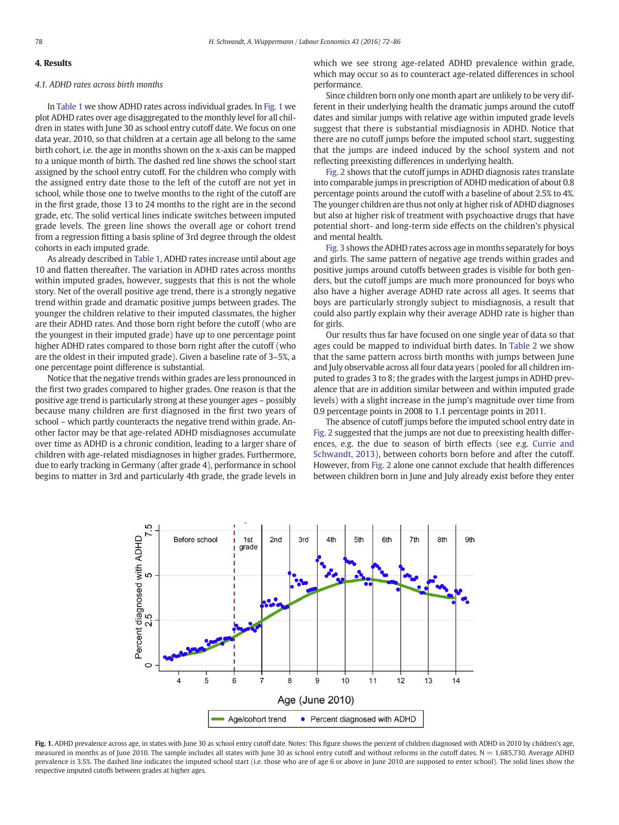#### <span id="page-6-0"></span>4. Results

#### 4.1. ADHD rates across birth months

In [Table 1](#page-4-0) we show ADHD rates across individual grades. In Fig. 1 we plot ADHD rates over age disaggregated to the monthly level for all children in states with June 30 as school entry cutoff date. We focus on one data year, 2010, so that children at a certain age all belong to the same birth cohort, i.e. the age in months shown on the x-axis can be mapped to a unique month of birth. The dashed red line shows the school start assigned by the school entry cutoff. For the children who comply with the assigned entry date those to the left of the cutoff are not yet in school, while those one to twelve months to the right of the cutoff are in the first grade, those 13 to 24 months to the right are in the second grade, etc. The solid vertical lines indicate switches between imputed grade levels. The green line shows the overall age or cohort trend from a regression fitting a basis spline of 3rd degree through the oldest cohorts in each imputed grade.

As already described in [Table 1](#page-4-0), ADHD rates increase until about age 10 and flatten thereafter. The variation in ADHD rates across months within imputed grades, however, suggests that this is not the whole story. Net of the overall positive age trend, there is a strongly negative trend within grade and dramatic positive jumps between grades. The younger the children relative to their imputed classmates, the higher are their ADHD rates. And those born right before the cutoff (who are the youngest in their imputed grade) have up to one percentage point higher ADHD rates compared to those born right after the cutoff (who are the oldest in their imputed grade). Given a baseline rate of 3–5%, a one percentage point difference is substantial.

Notice that the negative trends within grades are less pronounced in the first two grades compared to higher grades. One reason is that the positive age trend is particularly strong at these younger ages – possibly because many children are first diagnosed in the first two years of school – which partly counteracts the negative trend within grade. Another factor may be that age-related ADHD misdiagnoses accumulate over time as ADHD is a chronic condition, leading to a larger share of children with age-related misdiagnoses in higher grades. Furthermore, due to early tracking in Germany (after grade 4), performance in school begins to matter in 3rd and particularly 4th grade, the grade levels in

which we see strong age-related ADHD prevalence within grade, which may occur so as to counteract age-related differences in school performance.

Since children born only one month apart are unlikely to be very different in their underlying health the dramatic jumps around the cutoff dates and similar jumps with relative age within imputed grade levels suggest that there is substantial misdiagnosis in ADHD. Notice that there are no cutoff jumps before the imputed school start, suggesting that the jumps are indeed induced by the school system and not reflecting preexisting differences in underlying health.

[Fig. 2](#page-7-0) shows that the cutoff jumps in ADHD diagnosis rates translate into comparable jumps in prescription of ADHD medication of about 0.8 percentage points around the cutoff with a baseline of about 2.5% to 4%. The younger children are thus not only at higher risk of ADHD diagnoses but also at higher risk of treatment with psychoactive drugs that have potential short- and long-term side effects on the children's physical and mental health.

[Fig. 3](#page-7-0) shows the ADHD rates across age in months separately for boys and girls. The same pattern of negative age trends within grades and positive jumps around cutoffs between grades is visible for both genders, but the cutoff jumps are much more pronounced for boys who also have a higher average ADHD rate across all ages. It seems that boys are particularly strongly subject to misdiagnosis, a result that could also partly explain why their average ADHD rate is higher than for girls.

Our results thus far have focused on one single year of data so that ages could be mapped to individual birth dates. In [Table 2](#page-8-0) we show that the same pattern across birth months with jumps between June and July observable across all four data years (pooled for all children imputed to grades 3 to 8; the grades with the largest jumps in ADHD prevalence that are in addition similar between and within imputed grade levels) with a slight increase in the jump's magnitude over time from 0.9 percentage points in 2008 to 1.1 percentage points in 2011.

The absence of cutoff jumps before the imputed school entry date in [Fig. 2](#page-7-0) suggested that the jumps are not due to preexisting health differences, e.g. the due to season of birth effects (see e.g. [Currie and](#page-13-0) [Schwandt, 2013\)](#page-13-0), between cohorts born before and after the cutoff. However, from [Fig. 2](#page-7-0) alone one cannot exclude that health differences between children born in June and July already exist before they enter



Fig. 1. ADHD prevalence across age, in states with June 30 as school entry cutoff date. Notes: This figure shows the percent of children diagnosed with ADHD in 2010 by children's age, measured in months as of June 2010. The sample includes all states with June 30 as school entry cutoff and without reforms in the cutoff dates. N = 1,685,730. Average ADHD prevalence is 3.5%. The dashed line indicates the imputed school start (i.e. those who are of age 6 or above in June 2010 are supposed to enter school). The solid lines show the respective imputed cutoffs between grades at higher ages.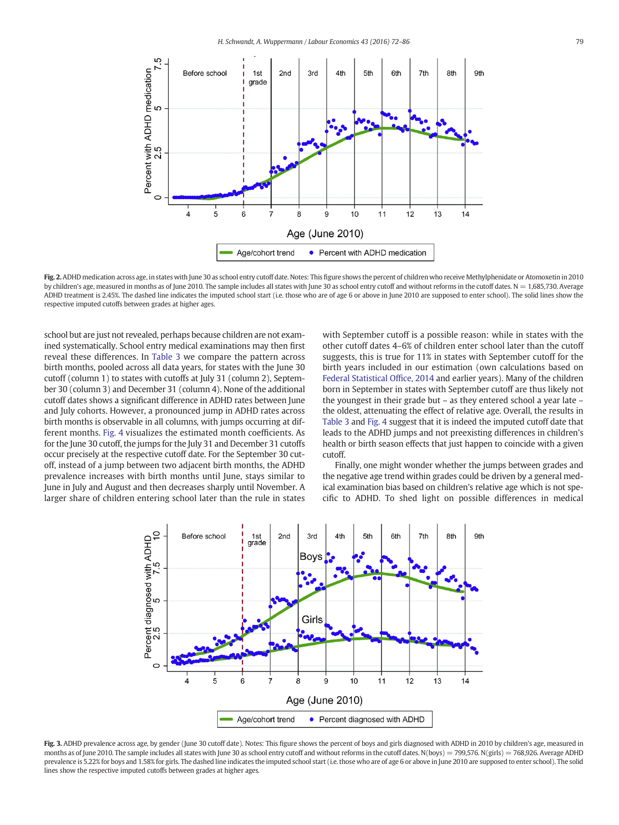<span id="page-7-0"></span>

Fig. 2. ADHD medication across age, in states with June 30 as school entry cutoff date. Notes: This figure shows the percent of children who receive Methylphenidate or Atomoxetin in 2010 by children's age, measured in months as of June 2010. The sample includes all states with June 30 as school entry cutoff and without reforms in the cutoff dates. N = 1,685,730. Average ADHD treatment is 2.45%. The dashed line indicates the imputed school start (i.e. those who are of age 6 or above in June 2010 are supposed to enter school). The solid lines show the respective imputed cutoffs between grades at higher ages.

school but are just not revealed, perhaps because children are not examined systematically. School entry medical examinations may then first reveal these differences. In [Table 3](#page-8-0) we compare the pattern across birth months, pooled across all data years, for states with the June 30 cutoff (column 1) to states with cutoffs at July 31 (column 2), September 30 (column 3) and December 31 (column 4). None of the additional cutoff dates shows a significant difference in ADHD rates between June and July cohorts. However, a pronounced jump in ADHD rates across birth months is observable in all columns, with jumps occurring at different months. [Fig. 4](#page-9-0) visualizes the estimated month coefficients. As for the June 30 cutoff, the jumps for the July 31 and December 31 cutoffs occur precisely at the respective cutoff date. For the September 30 cutoff, instead of a jump between two adjacent birth months, the ADHD prevalence increases with birth months until June, stays similar to June in July and August and then decreases sharply until November. A larger share of children entering school later than the rule in states with September cutoff is a possible reason: while in states with the other cutoff dates 4–6% of children enter school later than the cutoff suggests, this is true for 11% in states with September cutoff for the birth years included in our estimation (own calculations based on [Federal Statistical Of](#page-13-0)fice, 2014 and earlier years). Many of the children born in September in states with September cutoff are thus likely not the youngest in their grade but – as they entered school a year late – the oldest, attenuating the effect of relative age. Overall, the results in [Table 3](#page-8-0) and [Fig. 4](#page-9-0) suggest that it is indeed the imputed cutoff date that leads to the ADHD jumps and not preexisting differences in children's health or birth season effects that just happen to coincide with a given cutoff.

Finally, one might wonder whether the jumps between grades and the negative age trend within grades could be driven by a general medical examination bias based on children's relative age which is not specific to ADHD. To shed light on possible differences in medical



Fig. 3. ADHD prevalence across age, by gender (June 30 cutoff date). Notes: This figure shows the percent of boys and girls diagnosed with ADHD in 2010 by children's age, measured in months as of June 2010. The sample includes all states with June 30 as school entry cutoff and without reforms in the cutoff dates. N(boys) = 799,576. N(girls) = 768,926. Average ADHD prevalence is 5.22% for boys and 1.58% for girls. The dashed line indicates the imputed school start (i.e. those who are of age 6 or above in June 2010 are supposed to enter school). The solid lines show the respective imputed cutoffs between grades at higher ages.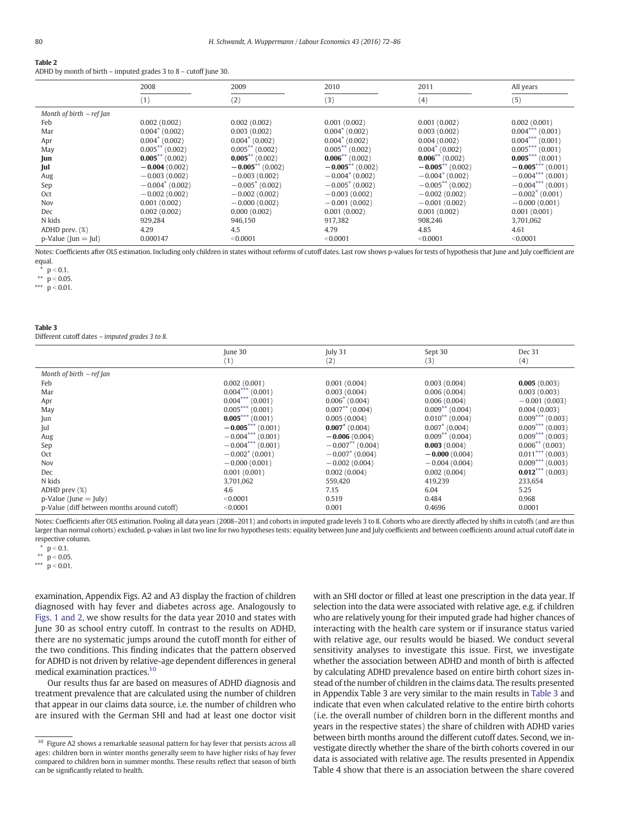## <span id="page-8-0"></span>Table 2

ADHD by month of birth – imputed grades 3 to 8 – cutoff June 30.

|                            | 2009<br>2008       |                               | 2010               | 2011               | All years           |
|----------------------------|--------------------|-------------------------------|--------------------|--------------------|---------------------|
|                            | (1)                | (2)                           | (3)                | (4)                | (5)                 |
| Month of birth $-$ ref Jan |                    |                               |                    |                    |                     |
| Feb                        | 0.002(0.002)       | 0.002(0.002)                  | 0.001(0.002)       | 0.001(0.002)       | 0.002(0.001)        |
| Mar                        | $0.004^*$ (0.002)  | 0.003(0.002)                  | $0.004^*$ (0.002)  | 0.003(0.002)       | $0.004***$ (0.001)  |
| Apr                        | $0.004^*$ (0.002)  | $0.004^*$ (0.002)             | $0.004^*$ (0.002)  | 0.004(0.002)       | $0.004***$ (0.001)  |
| May                        | $0.005***(0.002)$  | $0.005***(0.002)$             | $0.005***(0.002)$  | $0.004^*$ (0.002)  | $0.005***$ (0.001)  |
| Jun                        | $0.005***(0.002)$  | $0.005$ <sup>**</sup> (0.002) | $0.006**$ (0.002)  | $0.006**$ (0.002)  | $0.005***$ (0.001)  |
| Jul                        | $-0.004(0.002)$    | $-0.005**$ (0.002)            | $-0.005**$ (0.002) | $-0.005***(0.002)$ | $-0.005***$ (0.001) |
| Aug                        | $-0.003(0.002)$    | $-0.003(0.002)$               | $-0.004^*$ (0.002) | $-0.004^*$ (0.002) | $-0.004***$ (0.001) |
| Sep                        | $-0.004^*$ (0.002) | $-0.005$ <sup>*</sup> (0.002) | $-0.005^*$ (0.002) | $-0.005**$ (0.002) | $-0.004***$ (0.001) |
| Oct                        | $-0.002(0.002)$    | $-0.002(0.002)$               | $-0.003(0.002)$    | $-0.002(0.002)$    | $-0.002^*$ (0.001)  |
| Nov                        | 0.001(0.002)       | $-0.000(0.002)$               | $-0.001(0.002)$    | $-0.001(0.002)$    | $-0.000(0.001)$     |
| Dec                        | 0.002(0.002)       | 0.000(0.002)                  | 0.001(0.002)       | 0.001(0.002)       | 0.001(0.001)        |
| N kids                     | 929,284            | 946,150                       | 917,382            | 908,246            | 3,701,062           |
| ADHD prev. (%)             | 4.29               | 4.5                           | 4.79               | 4.85               | 4.61                |
| $p$ -Value (Jun = Jul)     | 0.000147           | < 0.0001                      | < 0.0001           | < 0.0001           | < 0.0001            |

Notes: Coefficients after OLS estimation. Including only children in states without reforms of cutoff dates. Last row shows p-values for tests of hypothesis that June and July coefficient are equal.

 $p < 0.1$ .

\*\*  $p < 0.05$ .

\*\*\*  $p < 0.01$ .

#### Table 3

Different cutoff dates – imputed grades 3 to 8.

| June 30             | July 31                       | Sept 30           | Dec 31             |
|---------------------|-------------------------------|-------------------|--------------------|
| (1)                 | (2)                           | (3)               | (4)                |
|                     |                               |                   |                    |
| 0.002(0.001)        | 0.001(0.004)                  | 0.003(0.004)      | 0.005(0.003)       |
| $0.004***$ (0.001)  | 0.003(0.004)                  | 0.006(0.004)      | 0.003(0.003)       |
| $0.004***$ (0.001)  | $0.006^* (0.004)$             | 0.006(0.004)      | $-0.001(0.003)$    |
| $0.005***$ (0.001)  | $0.007***$ (0.004)            | $0.009**$ (0.004) | 0.004(0.003)       |
| $0.005***$ (0.001)  | 0.005(0.004)                  | $0.010**$ (0.004) | $0.009***$ (0.003) |
| $-0.005***(0.001)$  | $0.007^*$ (0.004)             | $0.007^*$ (0.004) | $0.009***$ (0.003) |
| $-0.004***$ (0.001) | $-0.006(0.004)$               | $0.009**$ (0.004) | $0.009***$ (0.003) |
| $-0.004***$ (0.001) | $-0.007$ ** (0.004)           | 0.003(0.004)      | $0.006**$ (0.003)  |
| $-0.002^*$ (0.001)  | $-0.007$ <sup>*</sup> (0.004) | $-0.000(0.004)$   | $0.011***$ (0.003) |
| $-0.000(0.001)$     | $-0.002(0.004)$               | $-0.004(0.004)$   | $0.009***(0.003)$  |
| 0.001(0.001)        | 0.002(0.004)                  | 0.002(0.004)      | $0.012***$ (0.003) |
| 3,701,062           | 559,420                       | 419,239           | 233,654            |
| 4.6                 | 7.15                          | 6.04              | 5.25               |
| < 0.0001            | 0.519                         | 0.484             | 0.968              |
| < 0.0001            | 0.001                         | 0.4696            | 0.0001             |
|                     |                               |                   |                    |

Notes: Coefficients after OLS estimation. Pooling all data years (2008-2011) and cohorts in imputed grade levels 3 to 8. Cohorts who are directly affected by shifts in cutoffs (and are thus larger than normal cohorts) excluded. p-values in last two line for two hypotheses tests: equality between June and July coefficients and between coefficients around actual cutoff date in respective column.

 $p < 0.1$ .

\*\*  $p < 0.05$ .

\*\*\*  $p < 0.01$ .

examination, Appendix Figs. A2 and A3 display the fraction of children diagnosed with hay fever and diabetes across age. Analogously to [Figs. 1 and 2](#page-6-0), we show results for the data year 2010 and states with June 30 as school entry cutoff. In contrast to the results on ADHD, there are no systematic jumps around the cutoff month for either of the two conditions. This finding indicates that the pattern observed for ADHD is not driven by relative-age dependent differences in general medical examination practices.10

Our results thus far are based on measures of ADHD diagnosis and treatment prevalence that are calculated using the number of children that appear in our claims data source, i.e. the number of children who are insured with the German SHI and had at least one doctor visit with an SHI doctor or filled at least one prescription in the data year. If selection into the data were associated with relative age, e.g. if children who are relatively young for their imputed grade had higher chances of interacting with the health care system or if insurance status varied with relative age, our results would be biased. We conduct several sensitivity analyses to investigate this issue. First, we investigate whether the association between ADHD and month of birth is affected by calculating ADHD prevalence based on entire birth cohort sizes instead of the number of children in the claims data. The results presented in Appendix Table 3 are very similar to the main results in Table 3 and indicate that even when calculated relative to the entire birth cohorts (i.e. the overall number of children born in the different months and years in the respective states) the share of children with ADHD varies between birth months around the different cutoff dates. Second, we investigate directly whether the share of the birth cohorts covered in our data is associated with relative age. The results presented in Appendix Table 4 show that there is an association between the share covered

 $^{10}\,$  Figure A2 shows a remarkable seasonal pattern for hay fever that persists across all ages: children born in winter months generally seem to have higher risks of hay fever compared to children born in summer months. These results reflect that season of birth can be significantly related to health.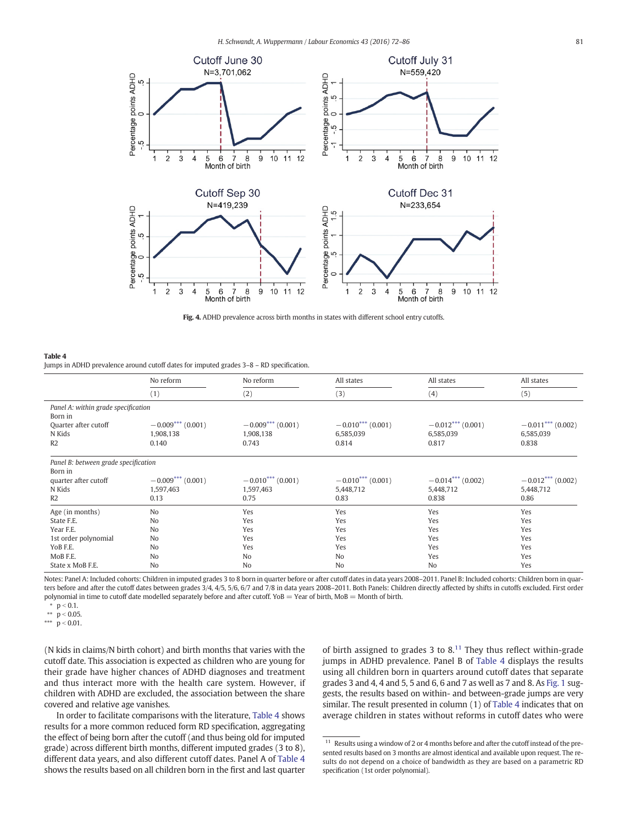<span id="page-9-0"></span>

Fig. 4. ADHD prevalence across birth months in states with different school entry cutoffs.

#### Table 4 Jumps in ADHD prevalence around cutoff dates for imputed grades 3–8 – RD specification.

|                                                 | No reform          | No reform           | All states          | All states          | All states          |
|-------------------------------------------------|--------------------|---------------------|---------------------|---------------------|---------------------|
|                                                 | (1)                | (2)                 | (3)                 | (4)                 | (5)                 |
| Panel A: within grade specification             |                    |                     |                     |                     |                     |
| Born in                                         |                    |                     |                     |                     |                     |
| Quarter after cutoff                            | $-0.009***(0.001)$ | $-0.009***$ (0.001) | $-0.010***$ (0.001) | $-0.012***$ (0.001) | $-0.011***$ (0.002) |
| N Kids                                          | 1,908,138          | 1,908,138           | 6,585,039           | 6,585,039           | 6,585,039           |
| R <sub>2</sub>                                  | 0.140              | 0.743               | 0.814               | 0.817               | 0.838               |
| Panel B: between grade specification<br>Born in |                    |                     |                     |                     |                     |
| quarter after cutoff                            | $-0.009***(0.001)$ | $-0.010***$ (0.001) | $-0.010***$ (0.001) | $-0.014***$ (0.002) | $-0.012***$ (0.002) |
| N Kids                                          | 1,597,463          | 1,597,463           | 5,448,712           | 5,448,712           | 5,448,712           |
| R2                                              | 0.13               | 0.75                | 0.83                | 0.838               | 0.86                |
| Age (in months)                                 | N <sub>o</sub>     | Yes                 | Yes                 | Yes                 | Yes                 |
| State F.E.                                      | No                 | Yes                 | Yes                 | Yes                 | Yes                 |
| Year F.E.                                       | N <sub>0</sub>     | Yes                 | Yes                 | Yes                 | Yes                 |
| 1st order polynomial                            | No                 | Yes                 | Yes                 | Yes                 | Yes                 |
| YoB F.E.                                        | No                 | Yes                 | Yes                 | Yes                 | Yes                 |
| MoB F.E.                                        | No                 | N <sub>o</sub>      | N <sub>o</sub>      | Yes                 | Yes                 |
| State x MoB F.E.                                | No                 | N <sub>o</sub>      | No                  | N <sub>o</sub>      | Yes                 |

Notes: Panel A: Included cohorts: Children in imputed grades 3 to 8 born in quarter before or after cutoff dates in data years 2008-2011. Panel B: Included cohorts: Children born in quarters before and after the cutoff dates between grades 3/4, 4/5, 5/6, 6/7 and 7/8 in data years 2008-2011. Both Panels: Children directly affected by shifts in cutoffs excluded. First order polynomial in time to cutoff date modelled separately before and after cutoff. YoB = Year of birth, MoB = Month of birth.

 $* p < 0.1.$ 

\*\*  $p < 0.05$ .

\*\*\*  $p < 0.01$ .

(N kids in claims/N birth cohort) and birth months that varies with the cutoff date. This association is expected as children who are young for their grade have higher chances of ADHD diagnoses and treatment and thus interact more with the health care system. However, if children with ADHD are excluded, the association between the share covered and relative age vanishes.

In order to facilitate comparisons with the literature, Table 4 shows results for a more common reduced form RD specification, aggregating the effect of being born after the cutoff (and thus being old for imputed grade) across different birth months, different imputed grades (3 to 8), different data years, and also different cutoff dates. Panel A of Table 4 shows the results based on all children born in the first and last quarter of birth assigned to grades 3 to  $8.<sup>11</sup>$  They thus reflect within-grade jumps in ADHD prevalence. Panel B of Table 4 displays the results using all children born in quarters around cutoff dates that separate grades 3 and 4, 4 and 5, 5 and 6, 6 and 7 as well as 7 and 8. As [Fig. 1](#page-6-0) suggests, the results based on within- and between-grade jumps are very similar. The result presented in column (1) of Table 4 indicates that on average children in states without reforms in cutoff dates who were

 $11$  Results using a window of 2 or 4 months before and after the cutoff instead of the presented results based on 3 months are almost identical and available upon request. The results do not depend on a choice of bandwidth as they are based on a parametric RD specification (1st order polynomial).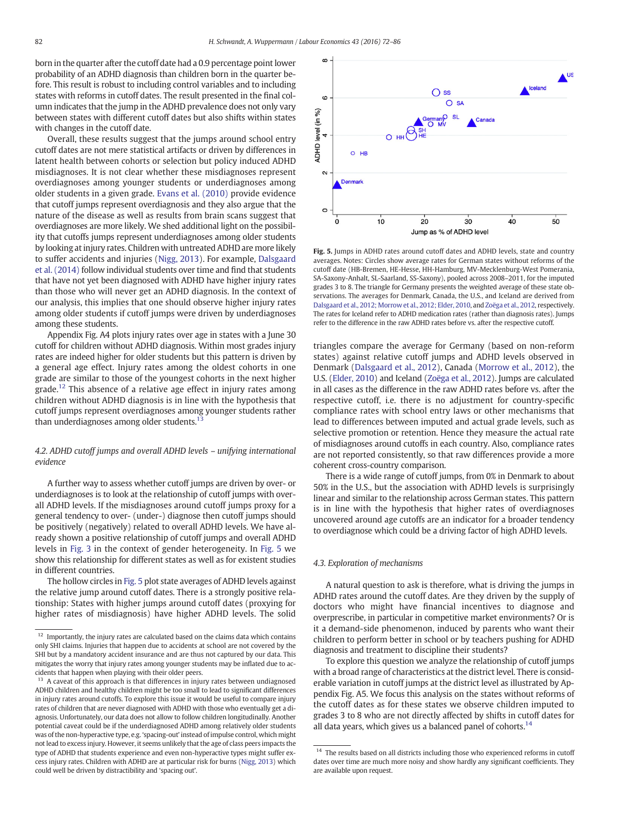born in the quarter after the cutoff date had a 0.9 percentage point lower probability of an ADHD diagnosis than children born in the quarter before. This result is robust to including control variables and to including states with reforms in cutoff dates. The result presented in the final column indicates that the jump in the ADHD prevalence does not only vary between states with different cutoff dates but also shifts within states with changes in the cutoff date.

Overall, these results suggest that the jumps around school entry cutoff dates are not mere statistical artifacts or driven by differences in latent health between cohorts or selection but policy induced ADHD misdiagnoses. It is not clear whether these misdiagnoses represent overdiagnoses among younger students or underdiagnoses among older students in a given grade. [Evans et al. \(2010\)](#page-13-0) provide evidence that cutoff jumps represent overdiagnosis and they also argue that the nature of the disease as well as results from brain scans suggest that overdiagnoses are more likely. We shed additional light on the possibility that cutoffs jumps represent underdiagnoses among older students by looking at injury rates. Children with untreated ADHD are more likely to suffer accidents and injuries [\(Nigg, 2013\)](#page-13-0). For example, [Dalsgaard](#page-13-0) [et al. \(2014\)](#page-13-0) follow individual students over time and find that students that have not yet been diagnosed with ADHD have higher injury rates than those who will never get an ADHD diagnosis. In the context of our analysis, this implies that one should observe higher injury rates among older students if cutoff jumps were driven by underdiagnoses among these students.

Appendix Fig. A4 plots injury rates over age in states with a June 30 cutoff for children without ADHD diagnosis. Within most grades injury rates are indeed higher for older students but this pattern is driven by a general age effect. Injury rates among the oldest cohorts in one grade are similar to those of the youngest cohorts in the next higher grade.<sup>12</sup> This absence of a relative age effect in injury rates among children without ADHD diagnosis is in line with the hypothesis that cutoff jumps represent overdiagnoses among younger students rather than underdiagnoses among older students. $11$ 

## 4.2. ADHD cutoff jumps and overall ADHD levels – unifying international evidence

A further way to assess whether cutoff jumps are driven by over- or underdiagnoses is to look at the relationship of cutoff jumps with overall ADHD levels. If the misdiagnoses around cutoff jumps proxy for a general tendency to over- (under-) diagnose then cutoff jumps should be positively (negatively) related to overall ADHD levels. We have already shown a positive relationship of cutoff jumps and overall ADHD levels in [Fig. 3](#page-7-0) in the context of gender heterogeneity. In Fig. 5 we show this relationship for different states as well as for existent studies in different countries.

The hollow circles in Fig. 5 plot state averages of ADHD levels against the relative jump around cutoff dates. There is a strongly positive relationship: States with higher jumps around cutoff dates (proxying for higher rates of misdiagnosis) have higher ADHD levels. The solid



Fig. 5. Jumps in ADHD rates around cutoff dates and ADHD levels, state and country averages. Notes: Circles show average rates for German states without reforms of the cutoff date (HB-Bremen, HE-Hesse, HH-Hamburg, MV-Mecklenburg-West Pomerania, SA-Saxony-Anhalt, SL-Saarland, SS-Saxony), pooled across 2008–2011, for the imputed grades 3 to 8. The triangle for Germany presents the weighted average of these state observations. The averages for Denmark, Canada, the U.S., and Iceland are derived from [Dalsgaard et al., 2012; Morrow et al., 2012; Elder, 2010,](#page-13-0) and [Zoëga et al., 2012,](#page-14-0) respectively. The rates for Iceland refer to ADHD medication rates (rather than diagnosis rates). Jumps refer to the difference in the raw ADHD rates before vs. after the respective cutoff.

triangles compare the average for Germany (based on non-reform states) against relative cutoff jumps and ADHD levels observed in Denmark [\(Dalsgaard et al., 2012](#page-13-0)), Canada ([Morrow et al., 2012](#page-13-0)), the U.S. [\(Elder, 2010](#page-13-0)) and Iceland ([Zoëga et al., 2012\)](#page-14-0). Jumps are calculated in all cases as the difference in the raw ADHD rates before vs. after the respective cutoff, i.e. there is no adjustment for country-specific compliance rates with school entry laws or other mechanisms that lead to differences between imputed and actual grade levels, such as selective promotion or retention. Hence they measure the actual rate of misdiagnoses around cutoffs in each country. Also, compliance rates are not reported consistently, so that raw differences provide a more coherent cross-country comparison.

There is a wide range of cutoff jumps, from 0% in Denmark to about 50% in the U.S., but the association with ADHD levels is surprisingly linear and similar to the relationship across German states. This pattern is in line with the hypothesis that higher rates of overdiagnoses uncovered around age cutoffs are an indicator for a broader tendency to overdiagnose which could be a driving factor of high ADHD levels.

#### 4.3. Exploration of mechanisms

A natural question to ask is therefore, what is driving the jumps in ADHD rates around the cutoff dates. Are they driven by the supply of doctors who might have financial incentives to diagnose and overprescribe, in particular in competitive market environments? Or is it a demand-side phenomenon, induced by parents who want their children to perform better in school or by teachers pushing for ADHD diagnosis and treatment to discipline their students?

To explore this question we analyze the relationship of cutoff jumps with a broad range of characteristics at the district level. There is considerable variation in cutoff jumps at the district level as illustrated by Appendix Fig. A5. We focus this analysis on the states without reforms of the cutoff dates as for these states we observe children imputed to grades 3 to 8 who are not directly affected by shifts in cutoff dates for all data years, which gives us a balanced panel of cohorts. $14$ 

 $12$  Importantly, the injury rates are calculated based on the claims data which contains only SHI claims. Injuries that happen due to accidents at school are not covered by the SHI but by a mandatory accident insurance and are thus not captured by our data. This mitigates the worry that injury rates among younger students may be inflated due to accidents that happen when playing with their older peers.

<sup>&</sup>lt;sup>13</sup> A caveat of this approach is that differences in injury rates between undiagnosed ADHD children and healthy children might be too small to lead to significant differences in injury rates around cutoffs. To explore this issue it would be useful to compare injury rates of children that are never diagnosed with ADHD with those who eventually get a diagnosis. Unfortunately, our data does not allow to follow children longitudinally. Another potential caveat could be if the underdiagnosed ADHD among relatively older students was of the non-hyperactive type, e.g. 'spacing-out' instead of impulse control, which might not lead to excess injury. However, it seems unlikely that the age of class peers impacts the type of ADHD that students experience and even non-hyperactive types might suffer excess injury rates. Children with ADHD are at particular risk for burns [\(Nigg, 2013\)](#page-13-0) which could well be driven by distractibility and 'spacing out'.

<sup>&</sup>lt;sup>14</sup> The results based on all districts including those who experienced reforms in cutoff dates over time are much more noisy and show hardly any significant coefficients. They are available upon request.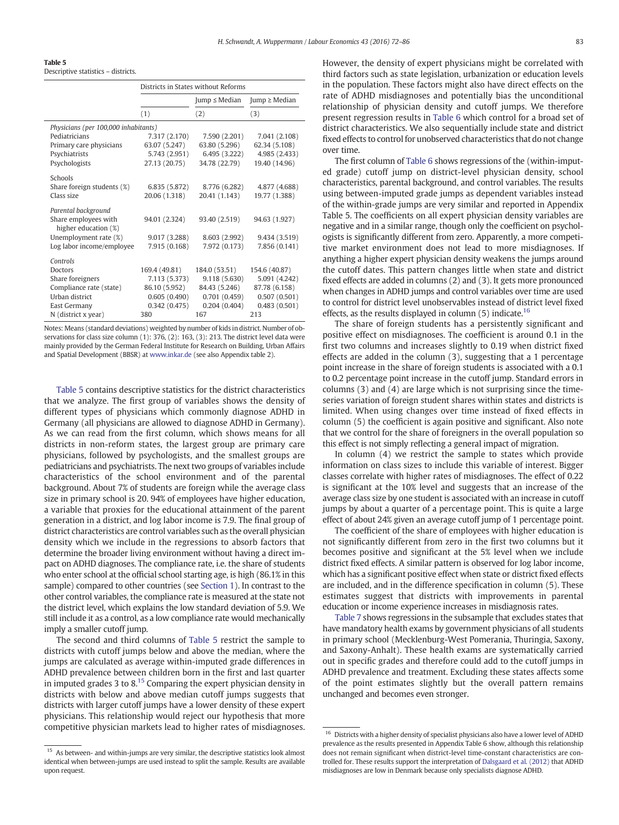Table 5

| Descriptive statistics - districts. |  |
|-------------------------------------|--|
|-------------------------------------|--|

|                                              | Districts in States without Reforms |                                  |                    |  |  |
|----------------------------------------------|-------------------------------------|----------------------------------|--------------------|--|--|
|                                              |                                     | $\text{Jump} \leq \text{Median}$ | $ ump \geq Median$ |  |  |
|                                              | (1)                                 | (2)                              | (3)                |  |  |
| Physicians (per 100,000 inhabitants)         |                                     |                                  |                    |  |  |
| Pediatricians                                | 7.317 (2.170)                       | 7.590 (2.201)                    | 7.041 (2.108)      |  |  |
| Primary care physicians                      | 63.07 (5.247)                       | 63.80 (5.296)                    | 62.34 (5.108)      |  |  |
| Psychiatrists                                | 5.743 (2.951)                       | 6.495 (3.222)                    | 4.985 (2.433)      |  |  |
| Psychologists                                | 27.13 (20.75)                       | 34.78 (22.79)                    | 19.40 (14.96)      |  |  |
| Schools                                      |                                     |                                  |                    |  |  |
| Share foreign students (%)                   | 6.835 (5.872)                       | 8.776 (6.282)                    | 4.877 (4.688)      |  |  |
| Class size                                   | 20.06 (1.318)                       | 20.41 (1.143)                    | 19.77 (1.388)      |  |  |
| Parental background                          |                                     |                                  |                    |  |  |
| Share employees with<br>higher education (%) | 94.01 (2.324)                       | 93.40 (2.519)                    | 94.63 (1.927)      |  |  |
| Unemployment rate (%)                        | 9.017 (3.288)                       | 8.603 (2.992)                    | 9.434 (3.519)      |  |  |
| Log labor income/employee                    | 7.915 (0.168)                       | 7.972 (0.173)                    | 7.856 (0.141)      |  |  |
| Controls                                     |                                     |                                  |                    |  |  |
| Doctors                                      | 169.4 (49.81)                       | 184.0 (53.51)                    | 154.6 (40.87)      |  |  |
| Share foreigners                             | 7.113 (5.373)                       | 9.118 (5.630)                    | 5.091 (4.242)      |  |  |
| Compliance rate (state)                      | 86.10 (5.952)                       | 84.43 (5.246)                    | 87.78 (6.158)      |  |  |
| Urban district                               | 0.605(0.490)                        | 0.701(0.459)                     | 0.507(0.501)       |  |  |
| East Germany                                 | 0.342(0.475)                        | 0.204(0.404)                     | 0.483(0.501)       |  |  |
| N (district x year)                          | 380                                 | 167                              | 213                |  |  |

Notes: Means (standard deviations) weighted by number of kids in district. Number of observations for class size column (1): 376, (2): 163, (3): 213. The district level data were mainly provided by the German Federal Institute for Research on Building, Urban Affairs and Spatial Development (BBSR) at [www.inkar.de](http://www.inkar.de) (see also Appendix table 2).

Table 5 contains descriptive statistics for the district characteristics that we analyze. The first group of variables shows the density of different types of physicians which commonly diagnose ADHD in Germany (all physicians are allowed to diagnose ADHD in Germany). As we can read from the first column, which shows means for all districts in non-reform states, the largest group are primary care physicians, followed by psychologists, and the smallest groups are pediatricians and psychiatrists. The next two groups of variables include characteristics of the school environment and of the parental background. About 7% of students are foreign while the average class size in primary school is 20. 94% of employees have higher education, a variable that proxies for the educational attainment of the parent generation in a district, and log labor income is 7.9. The final group of district characteristics are control variables such as the overall physician density which we include in the regressions to absorb factors that determine the broader living environment without having a direct impact on ADHD diagnoses. The compliance rate, i.e. the share of students who enter school at the official school starting age, is high (86.1% in this sample) compared to other countries (see [Section 1\)](#page-0-0). In contrast to the other control variables, the compliance rate is measured at the state not the district level, which explains the low standard deviation of 5.9. We still include it as a control, as a low compliance rate would mechanically imply a smaller cutoff jump.

The second and third columns of Table 5 restrict the sample to districts with cutoff jumps below and above the median, where the jumps are calculated as average within-imputed grade differences in ADHD prevalence between children born in the first and last quarter in imputed grades 3 to  $8<sup>15</sup>$  Comparing the expert physician density in districts with below and above median cutoff jumps suggests that districts with larger cutoff jumps have a lower density of these expert physicians. This relationship would reject our hypothesis that more competitive physician markets lead to higher rates of misdiagnoses.

The first column of [Table 6](#page-12-0) shows regressions of the (within-imputed grade) cutoff jump on district-level physician density, school characteristics, parental background, and control variables. The results using between-imputed grade jumps as dependent variables instead of the within-grade jumps are very similar and reported in Appendix Table 5. The coefficients on all expert physician density variables are negative and in a similar range, though only the coefficient on psychologists is significantly different from zero. Apparently, a more competitive market environment does not lead to more misdiagnoses. If anything a higher expert physician density weakens the jumps around the cutoff dates. This pattern changes little when state and district fixed effects are added in columns (2) and (3). It gets more pronounced when changes in ADHD jumps and control variables over time are used to control for district level unobservables instead of district level fixed effects, as the results displayed in column  $(5)$  indicate.<sup>16</sup>

The share of foreign students has a persistently significant and positive effect on misdiagnoses. The coefficient is around 0.1 in the first two columns and increases slightly to 0.19 when district fixed effects are added in the column (3), suggesting that a 1 percentage point increase in the share of foreign students is associated with a 0.1 to 0.2 percentage point increase in the cutoff jump. Standard errors in columns (3) and (4) are large which is not surprising since the timeseries variation of foreign student shares within states and districts is limited. When using changes over time instead of fixed effects in column (5) the coefficient is again positive and significant. Also note that we control for the share of foreigners in the overall population so this effect is not simply reflecting a general impact of migration.

In column (4) we restrict the sample to states which provide information on class sizes to include this variable of interest. Bigger classes correlate with higher rates of misdiagnoses. The effect of 0.22 is significant at the 10% level and suggests that an increase of the average class size by one student is associated with an increase in cutoff jumps by about a quarter of a percentage point. This is quite a large effect of about 24% given an average cutoff jump of 1 percentage point.

The coefficient of the share of employees with higher education is not significantly different from zero in the first two columns but it becomes positive and significant at the 5% level when we include district fixed effects. A similar pattern is observed for log labor income, which has a significant positive effect when state or district fixed effects are included, and in the difference specification in column (5). These estimates suggest that districts with improvements in parental education or income experience increases in misdiagnosis rates.

[Table 7](#page-12-0) shows regressions in the subsample that excludes states that have mandatory health exams by government physicians of all students in primary school (Mecklenburg-West Pomerania, Thuringia, Saxony, and Saxony-Anhalt). These health exams are systematically carried out in specific grades and therefore could add to the cutoff jumps in ADHD prevalence and treatment. Excluding these states affects some of the point estimates slightly but the overall pattern remains unchanged and becomes even stronger.

<sup>&</sup>lt;sup>15</sup> As between- and within-jumps are very similar, the descriptive statistics look almost identical when between-jumps are used instead to split the sample. Results are available upon request.

<sup>&</sup>lt;sup>16</sup> Districts with a higher density of specialist physicians also have a lower level of ADHD prevalence as the results presented in Appendix Table 6 show, although this relationship does not remain significant when district-level time-constant characteristics are controlled for. These results support the interpretation of [Dalsgaard et al. \(2012\)](#page-13-0) that ADHD misdiagnoses are low in Denmark because only specialists diagnose ADHD.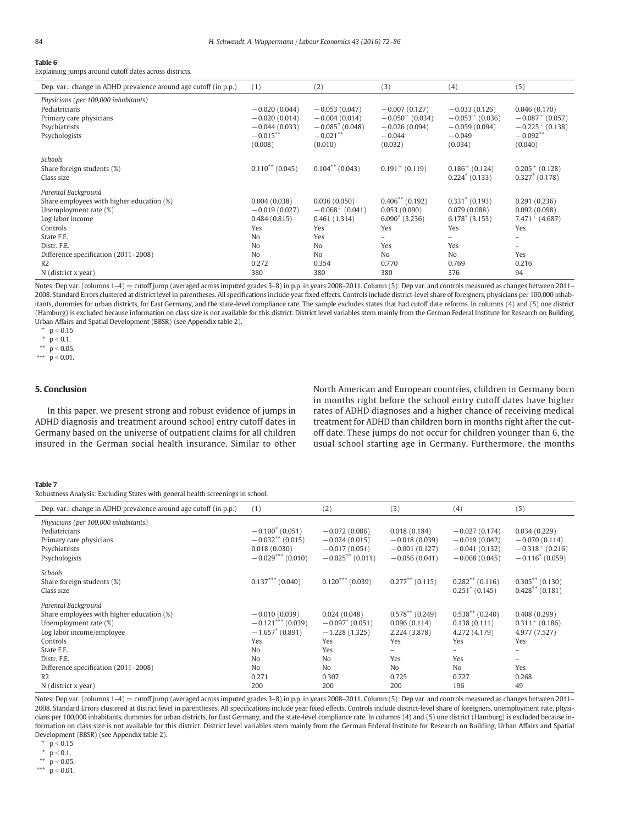#### <span id="page-12-0"></span>Table 6

Explaining jumps around cutoff dates across districts.

| Dep. var.: change in ADHD prevalence around age cutoff (in p.p.)                                                                                                                                                                        | (1)                                                                                                                          | (2)                                                                                                                    | (3)                                                                                                    | (4)                                                                                                    | (5)                                                                                  |
|-----------------------------------------------------------------------------------------------------------------------------------------------------------------------------------------------------------------------------------------|------------------------------------------------------------------------------------------------------------------------------|------------------------------------------------------------------------------------------------------------------------|--------------------------------------------------------------------------------------------------------|--------------------------------------------------------------------------------------------------------|--------------------------------------------------------------------------------------|
| Physicians (per 100,000 inhabitants)<br>Pediatricians<br>Primary care physicians<br>Psychiatrists<br>Psychologists                                                                                                                      | $-0.020(0.044)$<br>$-0.020(0.014)$<br>$-0.044(0.033)$<br>$-0.015***$<br>(0.008)                                              | $-0.053(0.047)$<br>$-0.004(0.014)$<br>$-0.085$ <sup>*</sup> (0.048)<br>$-0.021**$<br>(0.010)                           | $-0.007(0.127)$<br>$-0.050^{+}$ (0.034)<br>$-0.026(0.094)$<br>$-0.044$<br>(0.032)                      | $-0.033(0.126)$<br>$-0.053^{+}(0.036)$<br>$-0.059(0.094)$<br>$-0.049$<br>(0.034)                       | 0.046(0.170)<br>$-0.087^{+}$ (0.057)<br>$-0.225^{+}(0.138)$<br>$-0.092**$<br>(0.040) |
| Schools<br>Share foreign students (%)<br>Class size                                                                                                                                                                                     | $0.110^{**}$ (0.045)                                                                                                         | $0.104**$ (0.043)                                                                                                      | $0.191 + (0.119)$                                                                                      | $0.186^{+}$ (0.124)<br>$0.224$ <sup>*</sup> (0.133)                                                    | $0.205+$ (0.128)<br>$0.327$ <sup>*</sup> (0.178)                                     |
| Parental Background<br>Share employees with higher education (%)<br>Unemployment rate (%)<br>Log labor income<br>Controls<br>State F.E.<br>Distr. F.E.<br>Difference specification (2011-2008)<br>R <sub>2</sub><br>N (district x year) | 0.004(0.038)<br>$-0.019(0.027)$<br>0.484(0.815)<br>Yes<br>N <sub>0</sub><br>N <sub>0</sub><br>N <sub>o</sub><br>0.272<br>380 | 0.036(0.050)<br>$-0.068^{+}$ (0.041)<br>0.461(1.314)<br>Yes<br>Yes<br>N <sub>0</sub><br>N <sub>0</sub><br>0.354<br>380 | $0.406**$ (0.192)<br>0.053(0.090)<br>$6.090^*$ (3.236)<br>Yes<br>Yes<br>N <sub>0</sub><br>0.770<br>380 | $0.331^* (0.193)$<br>0.079(0.088)<br>$6.178^*$ (3.153)<br>Yes<br>Yes<br>N <sub>0</sub><br>0.769<br>376 | 0.291(0.236)<br>0.092(0.098)<br>$7.471 + (4.687)$<br>Yes<br>Yes<br>0.216<br>94       |

Notes: Dep var. (columns 1-4) = cutoff jump (averaged across imputed grades 3-8) in p.p. in years 2008-2011. Column (5): Dep var. and controls measured as changes between 2011-2008. Standard Errors clustered at district level in parentheses. All specifications include year fixed effects. Controls include district-level share of foreigners, physicians per 100,000 inhabitants, dummies for urban districts, for East Germany, and the state-level compliance rate. The sample excludes states that had cutoff date reforms. In columns (4) and (5) one district (Hamburg) is excluded because information on class size is not available for this district. District level variables stem mainly from the German Federal Institute for Research on Building, Urban Affairs and Spatial Development (BBSR) (see Appendix table 2).

 $+$  p < 0.15

 $p < 0.1$ .

\*\*  $p < 0.05$ .

\*\*\*  $p < 0.01$ .

#### 5. Conclusion

In this paper, we present strong and robust evidence of jumps in ADHD diagnosis and treatment around school entry cutoff dates in Germany based on the universe of outpatient claims for all children insured in the German social health insurance. Similar to other

North American and European countries, children in Germany born in months right before the school entry cutoff dates have higher rates of ADHD diagnoses and a higher chance of receiving medical treatment for ADHD than children born in months right after the cutoff date. These jumps do not occur for children younger than 6, the usual school starting age in Germany. Furthermore, the months

#### Table 7

Robustness Analysis: Excluding States with general health screenings in school.

| Dep. var.: change in ADHD prevalence around age cutoff (in p.p.)                                                                                                                                                                                 | (1)                                                                                                                                       | (2)                                                                                                                   | (3)                                                                                           | (4)                                                                                                     | (5)                                                                                                           |
|--------------------------------------------------------------------------------------------------------------------------------------------------------------------------------------------------------------------------------------------------|-------------------------------------------------------------------------------------------------------------------------------------------|-----------------------------------------------------------------------------------------------------------------------|-----------------------------------------------------------------------------------------------|---------------------------------------------------------------------------------------------------------|---------------------------------------------------------------------------------------------------------------|
| Physicians (per 100,000 inhabitants)<br>Pediatricians<br>Primary care physicians<br>Psychiatrists<br>Psychologists                                                                                                                               | $-0.100^*$ (0.051)<br>$-0.032$ ** (0.015)<br>0.018(0.030)<br>$-0.029***(0.010)$                                                           | $-0.072(0.086)$<br>$-0.024(0.015)$<br>$-0.017(0.051)$<br>$-0.025**$ (0.011)                                           | 0.018(0.184)<br>$-0.018(0.039)$<br>$-0.001(0.127)$<br>$-0.056(0.041)$                         | $-0.027(0.174)$<br>$-0.019(0.042)$<br>$-0.041(0.132)$<br>$-0.068(0.045)$                                | 0.034(0.229)<br>$-0.070(0.114)$<br>$-0.318 + (0.216)$<br>$-0.116^{*}$ (0.059)                                 |
| <b>Schools</b><br>Share foreign students (%)<br>Class size                                                                                                                                                                                       | $0.137***$ (0.040)                                                                                                                        | $0.120***$ (0.039)                                                                                                    | $0.277***$ (0.115)                                                                            | $0.282$ <sup>**</sup> (0.116)<br>$0.251^* (0.145)$                                                      | $0.305***(0.130)$<br>$0.428**$ (0.181)                                                                        |
| Parental Background<br>Share employees with higher education (%)<br>Unemployment rate (%)<br>Log labor income/employee<br>Controls<br>State F.E.<br>Distr. F.E.<br>Difference specification (2011-2008)<br>R <sub>2</sub><br>N (district x year) | $-0.010(0.039)$<br>$-0.121***$ (0.039)<br>$-1.657$ * (0.891)<br>Yes<br>N <sub>0</sub><br>N <sub>0</sub><br>N <sub>0</sub><br>0.271<br>200 | 0.024(0.048)<br>$-0.097$ (0.051)<br>$-1.228(1.325)$<br>Yes<br>Yes<br>N <sub>o</sub><br>N <sub>o</sub><br>0.307<br>200 | $0.578**$ (0.249)<br>0.096(0.114)<br>2.224 (3.878)<br>Yes<br>$-$<br>Yes<br>No<br>0.725<br>200 | $0.538**$ (0.240)<br>0.138(0.111)<br>4.272 (4.179)<br>Yes<br>-<br>Yes<br>N <sub>o</sub><br>0.727<br>196 | 0.408(0.299)<br>$0.311^{+}$ (0.186)<br>4.977 (7.527)<br>Yes<br>$\overline{\phantom{a}}$<br>Yes<br>0.268<br>49 |

Notes: Dep var. (columns 1-4) = cutoff jump (averaged across imputed grades 3-8) in p.p. in years 2008-2011. Column (5): Dep var. and controls measured as changes between 2011-2008. Standard Errors clustered at district level in parentheses. All specifications include year fixed effects. Controls include district-level share of foreigners, unemployment rate, physicians per 100,000 inhabitants, dummies for urban districts, for East Germany, and the state-level compliance rate. In columns (4) and (5) one district (Hamburg) is excluded because information on class size is not available for this district. District level variables stem mainly from the German Federal Institute for Research on Building, Urban Affairs and Spatial Development (BBSR) (see Appendix table 2).

 $+$  p < 0.15

 $p < 0.1$ . \*\*  $p < 0.05$ .

\*\*\*  $p < 0.01$ .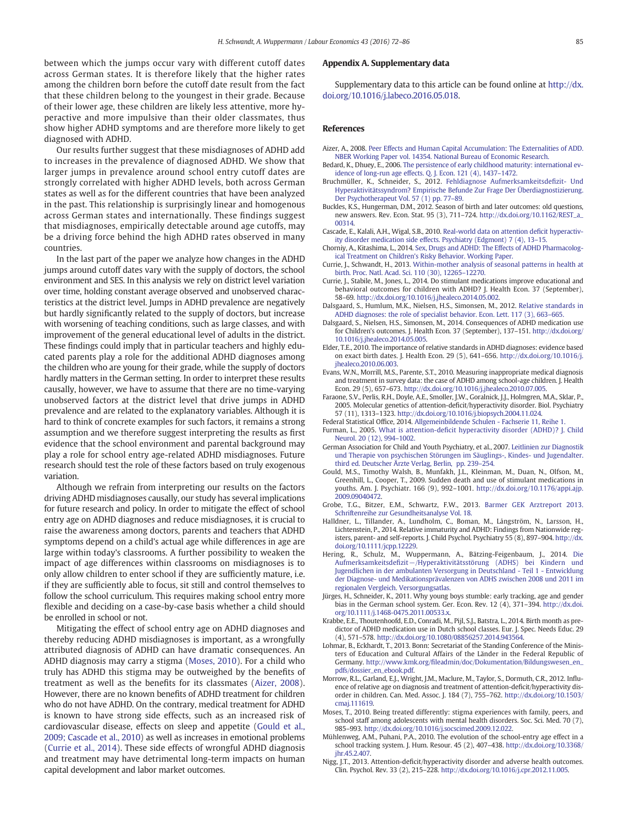<span id="page-13-0"></span>between which the jumps occur vary with different cutoff dates across German states. It is therefore likely that the higher rates among the children born before the cutoff date result from the fact that these children belong to the youngest in their grade. Because of their lower age, these children are likely less attentive, more hyperactive and more impulsive than their older classmates, thus show higher ADHD symptoms and are therefore more likely to get diagnosed with ADHD.

Our results further suggest that these misdiagnoses of ADHD add to increases in the prevalence of diagnosed ADHD. We show that larger jumps in prevalence around school entry cutoff dates are strongly correlated with higher ADHD levels, both across German states as well as for the different countries that have been analyzed in the past. This relationship is surprisingly linear and homogenous across German states and internationally. These findings suggest that misdiagnoses, empirically detectable around age cutoffs, may be a driving force behind the high ADHD rates observed in many countries.

In the last part of the paper we analyze how changes in the ADHD jumps around cutoff dates vary with the supply of doctors, the school environment and SES. In this analysis we rely on district level variation over time, holding constant average observed and unobserved characteristics at the district level. Jumps in ADHD prevalence are negatively but hardly significantly related to the supply of doctors, but increase with worsening of teaching conditions, such as large classes, and with improvement of the general educational level of adults in the district. These findings could imply that in particular teachers and highly educated parents play a role for the additional ADHD diagnoses among the children who are young for their grade, while the supply of doctors hardly matters in the German setting. In order to interpret these results causally, however, we have to assume that there are no time-varying unobserved factors at the district level that drive jumps in ADHD prevalence and are related to the explanatory variables. Although it is hard to think of concrete examples for such factors, it remains a strong assumption and we therefore suggest interpreting the results as first evidence that the school environment and parental background may play a role for school entry age-related ADHD misdiagnoses. Future research should test the role of these factors based on truly exogenous variation.

Although we refrain from interpreting our results on the factors driving ADHD misdiagnoses causally, our study has several implications for future research and policy. In order to mitigate the effect of school entry age on ADHD diagnoses and reduce misdiagnoses, it is crucial to raise the awareness among doctors, parents and teachers that ADHD symptoms depend on a child's actual age while differences in age are large within today's classrooms. A further possibility to weaken the impact of age differences within classrooms on misdiagnoses is to only allow children to enter school if they are sufficiently mature, i.e. if they are sufficiently able to focus, sit still and control themselves to follow the school curriculum. This requires making school entry more flexible and deciding on a case-by-case basis whether a child should be enrolled in school or not.

Mitigating the effect of school entry age on ADHD diagnoses and thereby reducing ADHD misdiagnoses is important, as a wrongfully attributed diagnosis of ADHD can have dramatic consequences. An ADHD diagnosis may carry a stigma (Moses, 2010). For a child who truly has ADHD this stigma may be outweighed by the benefits of treatment as well as the benefits for its classmates (Aizer, 2008). However, there are no known benefits of ADHD treatment for children who do not have ADHD. On the contrary, medical treatment for ADHD is known to have strong side effects, such as an increased risk of cardiovascular disease, effects on sleep and appetite (Gould et al., 2009; Cascade et al., 2010) as well as increases in emotional problems (Currie et al., 2014). These side effects of wrongful ADHD diagnosis and treatment may have detrimental long-term impacts on human capital development and labor market outcomes.

#### Appendix A. Supplementary data

Supplementary data to this article can be found online at [http://dx.](doi:10.1016/j.labeco.2016.05.018) [doi.org/10.1016/j.labeco.2016.05.018](doi:10.1016/j.labeco.2016.05.018).

#### References

- Aizer, A., 2008. [Peer Effects and Human Capital Accumulation: The Externalities of ADD.](http://refhub.elsevier.com/S0927-5371(16)30041-0/rf0005) [NBER Working Paper vol. 14354. National Bureau of Economic Research](http://refhub.elsevier.com/S0927-5371(16)30041-0/rf0005).
- Bedard, K., Dhuey, E., 2006. [The persistence of early childhood maturity: international ev](http://refhub.elsevier.com/S0927-5371(16)30041-0/rf0010)[idence of long-run age effects. Q. J. Econ. 121 \(4\), 1437](http://refhub.elsevier.com/S0927-5371(16)30041-0/rf0010)–1472.
- Bruchmüller, K., Schneider, S., 2012. [Fehldiagnose Aufmerksamkeitsde](http://refhub.elsevier.com/S0927-5371(16)30041-0/rf0015)fizit- Und [Hyperaktivitätssyndrom? Empirische Befunde Zur Frage Der Überdiagnostizierung.](http://refhub.elsevier.com/S0927-5371(16)30041-0/rf0015) [Der Psychotherapeut Vol. 57 \(1\) pp. 77](http://refhub.elsevier.com/S0927-5371(16)30041-0/rf0015)–89.
- Buckles, K.S., Hungerman, D.M., 2012. Season of birth and later outcomes: old questions, new answers. Rev. Econ. Stat. 95 (3), 711–724. http://dx.doi.org[/10.1162/REST\\_a\\_](http://dx.doi.org/10.1162/REST_a_00314) [00314](http://dx.doi.org/10.1162/REST_a_00314).
- Cascade, E., Kalali, A.H., Wigal, S.B., 2010. [Real-world data on attention de](http://refhub.elsevier.com/S0927-5371(16)30041-0/rf0025)ficit hyperactiv[ity disorder medication side effects. Psychiatry \(Edgmont\) 7 \(4\), 13](http://refhub.elsevier.com/S0927-5371(16)30041-0/rf0025)–15.
- Chorniy, A., Kitashima, L., 2014. [Sex, Drugs and ADHD: The Effects of ADHD Pharmacolog](http://refhub.elsevier.com/S0927-5371(16)30041-0/rf0030)[ical Treatment on Children's Risky Behavior. Working Paper](http://refhub.elsevier.com/S0927-5371(16)30041-0/rf0030).
- Currie, J., Schwandt, H., 2013. [Within-mother analysis of seasonal patterns in health at](http://refhub.elsevier.com/S0927-5371(16)30041-0/rf0035) [birth. Proc. Natl. Acad. Sci. 110 \(30\), 12265](http://refhub.elsevier.com/S0927-5371(16)30041-0/rf0035)–12270.
- Currie, J., Stabile, M., Jones, L., 2014. Do stimulant medications improve educational and behavioral outcomes for children with ADHD? J. Health Econ. 37 (September), 58–69. http://dx.doi.org[/10.1016/j.jhealeco.2014.05.002.](http://dx.doi.org/10.1016/j.jhealeco.2014.05.002)
- Dalsgaard, S., Humlum, M.K., Nielsen, H.S., Simonsen, M., 2012. [Relative standards in](http://refhub.elsevier.com/S0927-5371(16)30041-0/rf0045) [ADHD diagnoses: the role of specialist behavior. Econ. Lett. 117 \(3\), 663](http://refhub.elsevier.com/S0927-5371(16)30041-0/rf0045)–665.
- Dalsgaard, S., Nielsen, H.S., Simonsen, M., 2014. Consequences of ADHD medication use for Children's outcomes. J. Health Econ. 37 (September), 137–151. http://dx.doi.org/ [10.1016/j.jhealeco.2014.05.005](http://dx.doi.org/10.1016/j.jhealeco.2014.05.005).
- Elder, T.E., 2010. The importance of relative standards in ADHD diagnoses: evidence based on exact birth dates. J. Health Econ. 29 (5), 641–656. http://dx.doi.org[/10.1016/j.](http://dx.doi.org/10.1016/j.jhealeco.2010.06.003) [jhealeco.2010.06.003.](http://dx.doi.org/10.1016/j.jhealeco.2010.06.003)
- Evans, W.N., Morrill, M.S., Parente, S.T., 2010. Measuring inappropriate medical diagnosis and treatment in survey data: the case of ADHD among school-age children. J. Health Econ. 29 (5), 657–673. http://dx.doi.org/[10.1016/j.jhealeco.2010.07.005](http://dx.doi.org/10.1016/j.jhealeco.2010.07.005).
- Faraone, S.V., Perlis, R.H., Doyle, A.E., Smoller, J.W., Goralnick, J.J., Holmgren, M.A., Sklar, P., 2005. Molecular genetics of attention-deficit/hyperactivity disorder. Biol. Psychiatry 57 (11), 1313–1323. http://dx.doi.org[/10.1016/j.biopsych.2004.11.024.](http://dx.doi.org/10.1016/j.biopsych.2004.11.024)
- Federal Statistical Office, 2014. [Allgemeinbildende Schulen Fachserie 11, Reihe 1.](http://refhub.elsevier.com/S0927-5371(16)30041-0/rf0070)
- Furman, L., 2005. What is attention-defi[cit hyperactivity disorder \(ADHD\)? J. Child](http://refhub.elsevier.com/S0927-5371(16)30041-0/rf0075) [Neurol. 20 \(12\), 994](http://refhub.elsevier.com/S0927-5371(16)30041-0/rf0075)–1002.
- German Association for Child and Youth Psychiatry, et al., 2007. [Leitlinien zur Diagnostik](http://refhub.elsevier.com/S0927-5371(16)30041-0/rf0080) [und Therapie von psychischen Störungen im Säuglings-, Kindes- und Jugendalter.](http://refhub.elsevier.com/S0927-5371(16)30041-0/rf0080) [third ed. Deutscher Ärzte Verlag, Berlin, pp. 239](http://refhub.elsevier.com/S0927-5371(16)30041-0/rf0080)–254.
- Gould, M.S., Timothy Walsh, B., Munfakh, J.L., Kleinman, M., Duan, N., Olfson, M., Greenhill, L., Cooper, T., 2009. Sudden death and use of stimulant medications in youths. Am. J. Psychiatr. 166 (9), 992–1001. http://dx.doi.org[/10.1176/appi.ajp.](http://dx.doi.org/10.1176/appi.ajp.2009.09040472) [2009.09040472](http://dx.doi.org/10.1176/appi.ajp.2009.09040472).
- Grobe, T.G., Bitzer, E.M., Schwartz, F.W., 2013. [Barmer GEK Arztreport 2013.](http://refhub.elsevier.com/S0927-5371(16)30041-0/rf0090) [Schriftenreihe zur Gesundheitsanalyse Vol. 18](http://refhub.elsevier.com/S0927-5371(16)30041-0/rf0090).
- Halldner, L., Tillander, A., Lundholm, C., Boman, M., Långström, N., Larsson, H., Lichtenstein, P., 2014. Relative immaturity and ADHD: Findings from Nationwide registers, parent- and self-reports. J. Child Psychol. Psychiatry 55 (8), 897–904. http://dx. doi.org[/10.1111/jcpp.12229](http://dx.doi.org/10.1111/jcpp.12229).
- Hering, R., Schulz, M., Wuppermann, A., Bätzing-Feigenbaum, J., 2014. [Die](http://refhub.elsevier.com/S0927-5371(16)30041-0/rf0100) [Aufmerksamkeitsde](http://refhub.elsevier.com/S0927-5371(16)30041-0/rf0100)fizit−[/Hyperaktivitätsstörung \(ADHS\) bei Kindern und](http://refhub.elsevier.com/S0927-5371(16)30041-0/rf0100) [Jugendlichen in der ambulanten Versorgung in Deutschland - Teil 1 - Entwicklung](http://refhub.elsevier.com/S0927-5371(16)30041-0/rf0100) [der Diagnose- und Medikationsprävalenzen von ADHS zwischen 2008 und 2011 im](http://refhub.elsevier.com/S0927-5371(16)30041-0/rf0100) [regionalen Vergleich. Versorgungsatlas](http://refhub.elsevier.com/S0927-5371(16)30041-0/rf0100).
- Jürges, H., Schneider, K., 2011. Why young boys stumble: early tracking, age and gender bias in the German school system. Ger. Econ. Rev. 12 (4), 371–394. http://dx.doi. org[/10.1111/j.1468-0475.2011.00533.x.](http://dx.doi.org/10.1111/j.1468-0475.2011.00533.x)
- Krabbe, E.E., Thoutenhoofd, E.D., Conradi, M., Pijl, S.J., Batstra, L., 2014. Birth month as predictor of ADHD medication use in Dutch school classes. Eur. J. Spec. Needs Educ. 29 (4), 571–578. http://dx.doi.org/[10.1080/08856257.2014.943564](http://dx.doi.org/10.1080/08856257.2014.943564).
- Lohmar, B., Eckhardt, T., 2013. Bonn: Secretariat of the Standing Conference of the Ministers of Education and Cultural Affairs of the Länder in the Federal Republic of Germany. http://www.kmk.org/fi[leadmin/doc/Dokumentation/Bildungswesen\\_en\\_](http://www.kmk.org/fileadmin/doc/Dokumentation/Bildungswesen_en_pdfs/dossier_en_ebook.pdf) [pdfs/dossier\\_en\\_ebook.pdf.](http://www.kmk.org/fileadmin/doc/Dokumentation/Bildungswesen_en_pdfs/dossier_en_ebook.pdf)
- Morrow, R.L., Garland, E.J., Wright, J.M., Maclure, M., Taylor, S., Dormuth, C.R., 2012. Influence of relative age on diagnosis and treatment of attention-deficit/hyperactivity disorder in children. Can. Med. Assoc. J. 184 (7), 755–762. http://dx.doi.org/[10.1503/](http://dx.doi.org/10.1503/cmaj.111619) [cmaj.111619.](http://dx.doi.org/10.1503/cmaj.111619)
- Moses, T., 2010. Being treated differently: stigma experiences with family, peers, and school staff among adolescents with mental health disorders. Soc. Sci. Med. 70 (7), 985–993. http://dx.doi.org[/10.1016/j.socscimed.2009.12.022.](http://dx.doi.org/10.1016/j.socscimed.2009.12.022)
- Mühlenweg, A.M., Puhani, P.A., 2010. The evolution of the school-entry age effect in a school tracking system. J. Hum. Resour. 45 (2), 407–438. http://dx.doi.org[/10.3368/](http://dx.doi.org/10.3368/jhr.45.2.407) [jhr.45.2.407.](http://dx.doi.org/10.3368/jhr.45.2.407)
- Nigg, J.T., 2013. Attention-deficit/hyperactivity disorder and adverse health outcomes. Clin. Psychol. Rev. 33 (2), 215–228. http://dx.doi.org[/10.1016/j.cpr.2012.11.005.](http://dx.doi.org/10.1016/j.cpr.2012.11.005)